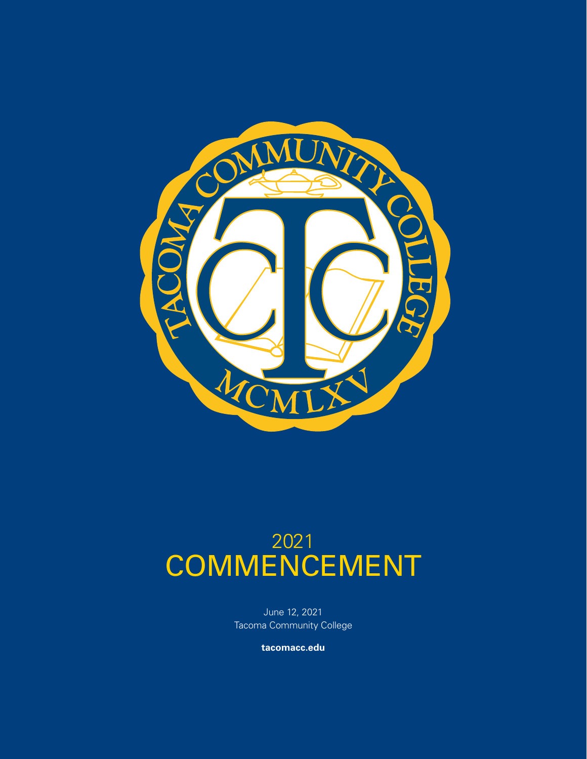

# 2021 COMMENCEMENT

June 12, 2021 Tacoma Community College

**tacomacc.edu**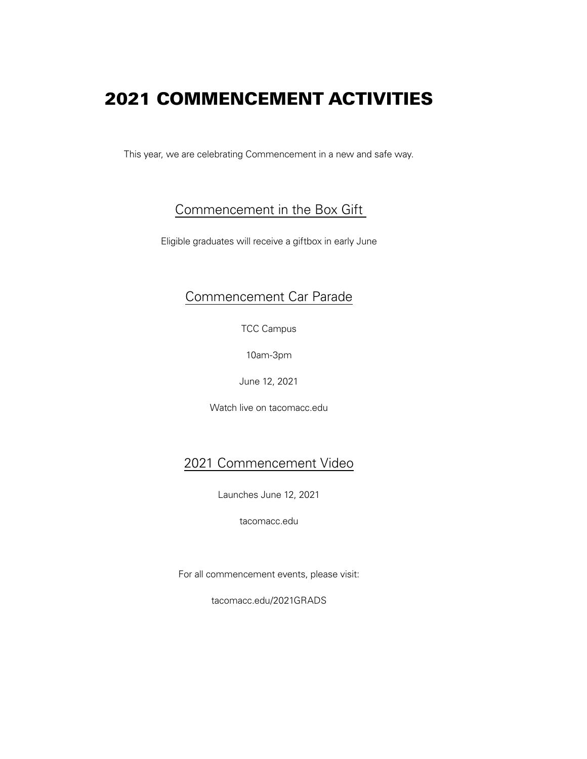# 2021 COMMENCEMENT ACTIVITIES

This year, we are celebrating Commencement in a new and safe way.

### Commencement in the Box Gift

Eligible graduates will receive a giftbox in early June

### Commencement Car Parade

TCC Campus

10am-3pm

June 12, 2021

Watch live on tacomacc.edu

### 2021 Commencement Video

Launches June 12, 2021

tacomacc.edu

For all commencement events, please visit:

tacomacc.edu/2021GRADS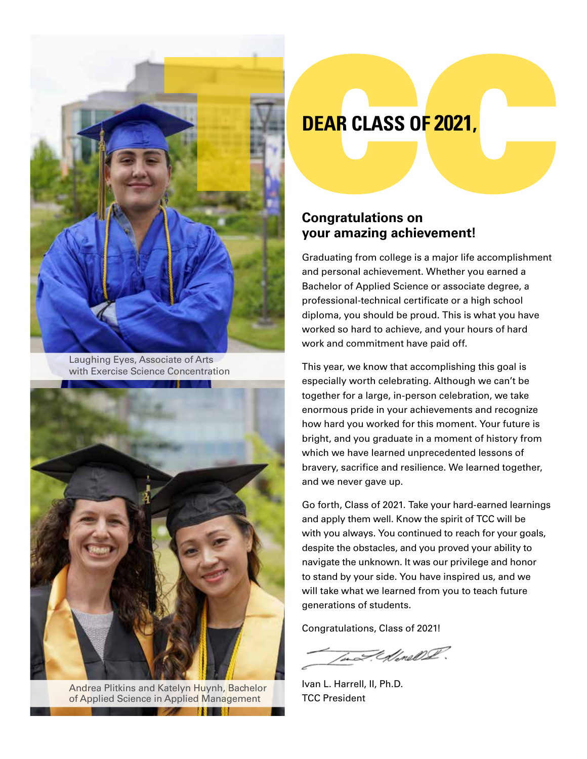

Laughing Eyes, Associate of Arts with Exercise Science Concentration



Andrea Plitkins and Katelyn Huynh, Bachelor of Applied Science in Applied Management

# **DEAR CLASS OF 2021,**

### **Congratulations on your amazing achievement!**

Graduating from college is a major life accomplishment and personal achievement. Whether you earned a Bachelor of Applied Science or associate degree, a professional-technical certificate or a high school diploma, you should be proud. This is what you have worked so hard to achieve, and your hours of hard work and commitment have paid off.

This year, we know that accomplishing this goal is especially worth celebrating. Although we can't be together for a large, in-person celebration, we take enormous pride in your achievements and recognize how hard you worked for this moment. Your future is bright, and you graduate in a moment of history from which we have learned unprecedented lessons of bravery, sacrifice and resilience. We learned together, and we never gave up.

Go forth, Class of 2021. Take your hard-earned learnings and apply them well. Know the spirit of TCC will be with you always. You continued to reach for your goals, despite the obstacles, and you proved your ability to navigate the unknown. It was our privilege and honor to stand by your side. You have inspired us, and we will take what we learned from you to teach future generations of students.

Congratulations, Class of 2021!

to I. Monel I.

Ivan L. Harrell, II, Ph.D. TCC President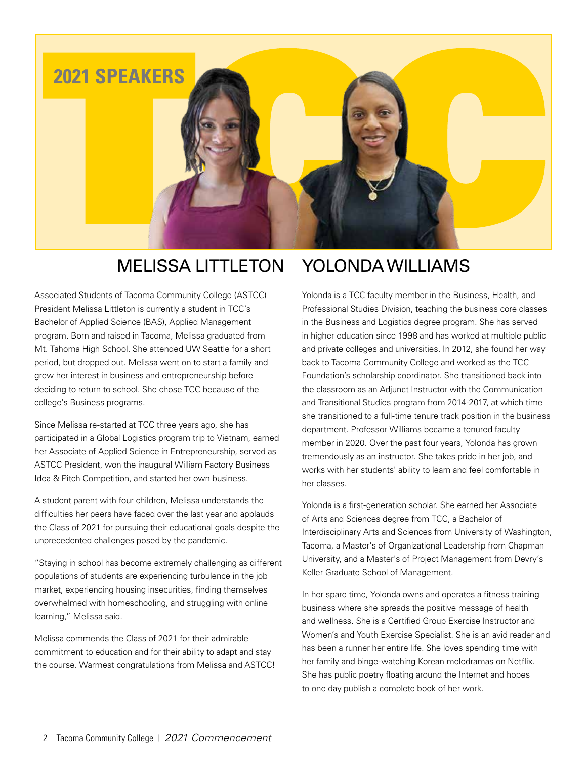

### YOLONDA WILLIAMS MELISSA LITTLETON

Associated Students of Tacoma Community College (ASTCC) President Melissa Littleton is currently a student in TCC's Bachelor of Applied Science (BAS), Applied Management program. Born and raised in Tacoma, Melissa graduated from Mt. Tahoma High School. She attended UW Seattle for a short period, but dropped out. Melissa went on to start a family and grew her interest in business and entrepreneurship before deciding to return to school. She chose TCC because of the college's Business programs.

Since Melissa re-started at TCC three years ago, she has participated in a Global Logistics program trip to Vietnam, earned her Associate of Applied Science in Entrepreneurship, served as ASTCC President, won the inaugural William Factory Business Idea & Pitch Competition, and started her own business.

A student parent with four children, Melissa understands the difficulties her peers have faced over the last year and applauds the Class of 2021 for pursuing their educational goals despite the unprecedented challenges posed by the pandemic.

"Staying in school has become extremely challenging as different populations of students are experiencing turbulence in the job market, experiencing housing insecurities, finding themselves overwhelmed with homeschooling, and struggling with online learning," Melissa said.

Melissa commends the Class of 2021 for their admirable commitment to education and for their ability to adapt and stay the course. Warmest congratulations from Melissa and ASTCC!

# Yolonda is a TCC faculty member in the Business, Health, and

Professional Studies Division, teaching the business core classes in the Business and Logistics degree program. She has served in higher education since 1998 and has worked at multiple public and private colleges and universities. In 2012, she found her way back to Tacoma Community College and worked as the TCC Foundation's scholarship coordinator. She transitioned back into the classroom as an Adjunct Instructor with the Communication and Transitional Studies program from 2014-2017, at which time she transitioned to a full-time tenure track position in the business department. Professor Williams became a tenured faculty member in 2020. Over the past four years, Yolonda has grown tremendously as an instructor. She takes pride in her job, and works with her students' ability to learn and feel comfortable in her classes.

Yolonda is a first-generation scholar. She earned her Associate of Arts and Sciences degree from TCC, a Bachelor of Interdisciplinary Arts and Sciences from University of Washington, Tacoma, a Master's of Organizational Leadership from Chapman University, and a Master's of Project Management from Devry's Keller Graduate School of Management.

In her spare time, Yolonda owns and operates a fitness training business where she spreads the positive message of health and wellness. She is a Certified Group Exercise Instructor and Women's and Youth Exercise Specialist. She is an avid reader and has been a runner her entire life. She loves spending time with her family and binge-watching Korean melodramas on Netflix. She has public poetry floating around the Internet and hopes to one day publish a complete book of her work.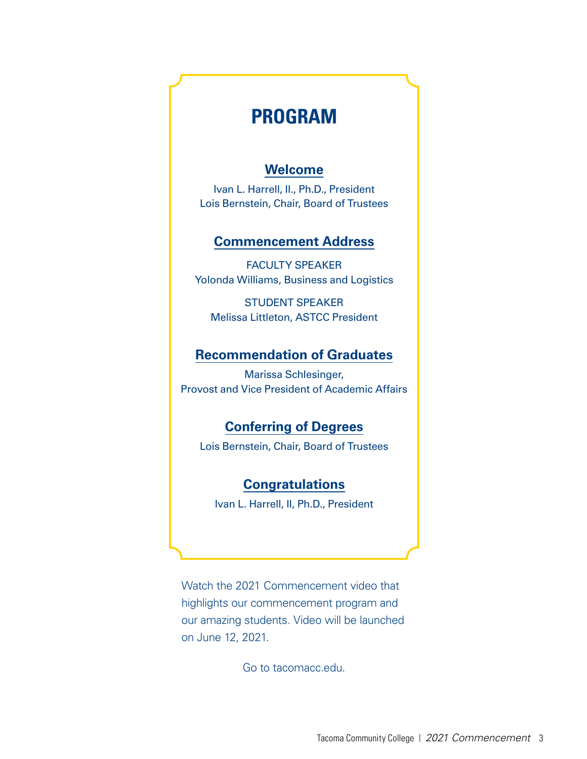## **PROGRAM**

### **Welcome**

Ivan L. Harrell, II., Ph.D., President Lois Bernstein, Chair, Board of Trustees

### **Commencement Address**

FACULTY SPEAKER Yolonda Williams, Business and Logistics

STUDENT SPEAKER Melissa Littleton, ASTCC President

### **Recommendation of Graduates**

Marissa Schlesinger, Provost and Vice President of Academic Affairs

### **Conferring of Degrees**

Lois Bernstein, Chair, Board of Trustees

### **Congratulations**

Ivan L. Harrell, II, Ph.D., President

Watch the 2021 Commencement video that highlights our commencement program and our amazing students. Video will be launched on June 12, 2021.

Go to tacomacc.edu.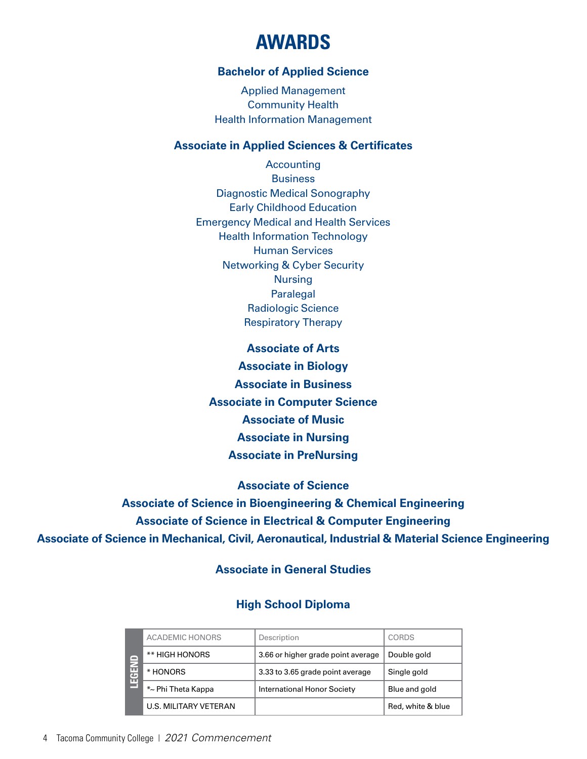# **AWARDS**

### **Bachelor of Applied Science**

Applied Management Community Health Health Information Management

### **Associate in Applied Sciences & Certificates**

Accounting **Business** Diagnostic Medical Sonography Early Childhood Education Emergency Medical and Health Services Health Information Technology Human Services Networking & Cyber Security Nursing Paralegal Radiologic Science Respiratory Therapy

**Associate of Arts Associate in Biology Associate in Business Associate in Computer Science Associate of Music Associate in Nursing Associate in PreNursing**

**Associate of Science**

**Associate of Science in Bioengineering & Chemical Engineering Associate of Science in Electrical & Computer Engineering Associate of Science in Mechanical, Civil, Aeronautical, Industrial & Material Science Engineering**

### **Associate in General Studies**

### **High School Diploma**

| $\overline{ }$<br>Œ<br>ш | <b>ACADEMIC HONORS</b> | Description                        | CORDS             |
|--------------------------|------------------------|------------------------------------|-------------------|
|                          | ** HIGH HONORS         | 3.66 or higher grade point average | Double gold       |
|                          | * HONORS               | 3.33 to 3.65 grade point average   | Single gold       |
|                          | *~ Phi Theta Kappa     | <b>International Honor Society</b> | Blue and gold     |
|                          | U.S. MILITARY VETERAN  |                                    | Red, white & blue |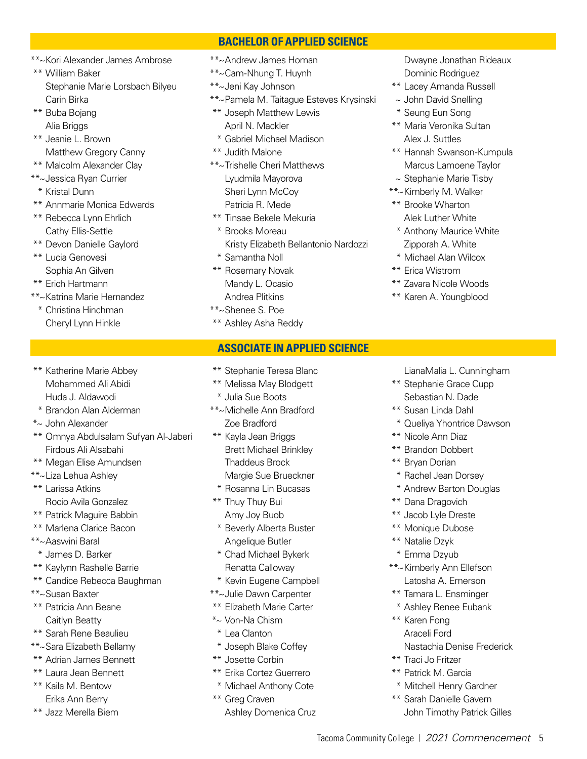- \*\*~Kori Alexander James Ambrose
- \*\* William Baker Stephanie Marie Lorsbach Bilyeu Carin Birka
- \*\* Buba Bojang Alia Briggs
- \*\* Jeanie L. Brown Matthew Gregory Canny
- \*\* Malcolm Alexander Clay
- \*\*~Jessica Ryan Currier
- \* Kristal Dunn
- \*\* Annmarie Monica Edwards
- \*\* Rebecca Lynn Ehrlich Cathy Ellis-Settle
- \*\* Devon Danielle Gaylord
- \*\* Lucia Genovesi Sophia An Gilven
- \*\* Erich Hartmann
- \*\*~Katrina Marie Hernandez
	- \* Christina Hinchman Cheryl Lynn Hinkle
- \*\* Katherine Marie Abbey Mohammed Ali Abidi Huda J. Aldawodi
- \* Brandon Alan Alderman
- \*~ John Alexander
- \*\* Omnya Abdulsalam Sufyan Al-Jaberi Firdous Ali Alsabahi
- \*\* Megan Elise Amundsen
- \*\*~Liza Lehua Ashley
- \*\* Larissa Atkins Rocio Avila Gonzalez
- \*\* Patrick Maguire Babbin
- \*\* Marlena Clarice Bacon
- \*\*~Aaswini Baral
	- \* James D. Barker
- \*\* Kaylynn Rashelle Barrie
- \*\* Candice Rebecca Baughman
- \*\*~Susan Baxter
- \*\* Patricia Ann Beane Caitlyn Beatty
- \*\* Sarah Rene Beaulieu
- \*\*~Sara Elizabeth Bellamy
- \*\* Adrian James Bennett
- \*\* Laura Jean Bennett
- \*\* Kaila M. Bentow Erika Ann Berry
- \*\* Jazz Merella Biem
- \*\*~Andrew James Homan
- \*\*~Cam-Nhung T. Huynh
- \*\*~Jeni Kay Johnson
- \*\*~Pamela M. Taitague Esteves Krysinski

**BACHELOR OF APPLIED SCIENCE**

- \*\* Joseph Matthew Lewis April N. Mackler
- \* Gabriel Michael Madison
- \*\* Judith Malone
- \*\*~Trishelle Cheri Matthews Lyudmila Mayorova Sheri Lynn McCoy Patricia R. Mede
- \*\* Tinsae Bekele Mekuria
- \* Brooks Moreau Kristy Elizabeth Bellantonio Nardozzi
- \* Samantha Noll
- \*\* Rosemary Novak Mandy L. Ocasio Andrea Plitkins
- \*\*~Shenee S. Poe
- \*\* Ashley Asha Reddy

### **ASSOCIATE IN APPLIED SCIENCE**

- \*\* Stephanie Teresa Blanc
- \*\* Melissa May Blodgett
- \* Julia Sue Boots
- \*\*~Michelle Ann Bradford Zoe Bradford
- \*\* Kayla Jean Briggs Brett Michael Brinkley Thaddeus Brock Margie Sue Brueckner
- \* Rosanna Lin Bucasas
- \*\* Thuy Thuy Bui Amy Joy Buob
- \* Beverly Alberta Buster Angelique Butler
- \* Chad Michael Bykerk Renatta Calloway
- \* Kevin Eugene Campbell
- \*\*~Julie Dawn Carpenter
- \*\* Elizabeth Marie Carter
- \*~ Von-Na Chism
- \* Lea Clanton
- \* Joseph Blake Coffey
- \*\* Josette Corbin
- \*\* Erika Cortez Guerrero
- \* Michael Anthony Cote
- \*\* Greg Craven Ashley Domenica Cruz

 Dwayne Jonathan Rideaux Dominic Rodriguez

- \*\* Lacey Amanda Russell
- ~ John David Snelling
- \* Seung Eun Song
- \*\* Maria Veronika Sultan Alex J. Suttles
- \*\* Hannah Swanson-Kumpula Marcus Lamoene Taylor
- $\sim$  Stephanie Marie Tisby
- \*\*~Kimberly M. Walker
- \*\* Brooke Wharton Alek Luther White
- \* Anthony Maurice White Zipporah A. White
- \* Michael Alan Wilcox
- \*\* Erica Wistrom
- \*\* Zavara Nicole Woods
- \*\* Karen A. Youngblood

LianaMalia L. Cunningham

- \*\* Stephanie Grace Cupp Sebastian N. Dade
- \*\* Susan Linda Dahl
- \* Queliya Yhontrice Dawson
- \*\* Nicole Ann Diaz
- \*\* Brandon Dobbert
- \*\* Bryan Dorian
- \* Rachel Jean Dorsey
- \* Andrew Barton Douglas
- \*\* Dana Dragovich
- \*\* Jacob Lyle Dreste
- \*\* Monique Dubose
- \*\* Natalie Dzyk

\*\* Karen Fong Araceli Ford

\*\* Traci Jo Fritzer \*\* Patrick M. Garcia

- \* Emma Dzyub
- \*\*~Kimberly Ann Ellefson Latosha A. Emerson
- \*\* Tamara L. Ensminger

Tacoma Community College | *2021 Commencement* 5

\* Ashley Renee Eubank

\* Mitchell Henry Gardner \*\* Sarah Danielle Gavern

Nastachia Denise Frederick

John Timothy Patrick Gilles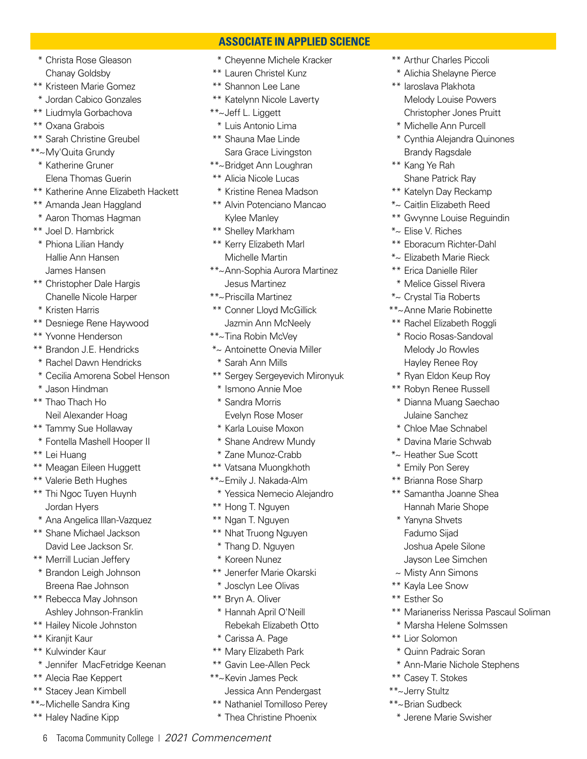\* Christa Rose Gleason Chanay Goldsby

- \*\* Kristeen Marie Gomez
- \* Jordan Cabico Gonzales
- \*\* Liudmyla Gorbachova
- \*\* Oxana Grabois
- \*\* Sarah Christine Greubel
- \*\*~My'Quita Grundy \* Katherine Gruner
- Elena Thomas Guerin
- \*\* Katherine Anne Elizabeth Hackett
- \*\* Amanda Jean Haggland
- \* Aaron Thomas Hagman
- \*\* Joel D. Hambrick
- \* Phiona Lilian Handy Hallie Ann Hansen James Hansen
- \*\* Christopher Dale Hargis Chanelle Nicole Harper
- \* Kristen Harris
- \*\* Desniege Rene Haywood
- \*\* Yvonne Henderson
- \*\* Brandon J.E. Hendricks
- \* Rachel Dawn Hendricks
- \* Cecilia Amorena Sobel Henson
- \* Jason Hindman
- \*\* Thao Thach Ho
	- Neil Alexander Hoag
- \*\* Tammy Sue Hollaway
- \* Fontella Mashell Hooper II
- \*\* Lei Huang
- \*\* Meagan Eileen Huggett
- \*\* Valerie Beth Hughes
- \*\* Thi Ngoc Tuyen Huynh Jordan Hyers
- \* Ana Angelica Illan-Vazquez
- \*\* Shane Michael Jackson David Lee Jackson Sr.
- \*\* Merrill Lucian Jeffery
- \* Brandon Leigh Johnson Breena Rae Johnson
- \*\* Rebecca May Johnson Ashley Johnson-Franklin
- \*\* Hailey Nicole Johnston
- \*\* Kiranjit Kaur
- \*\* Kulwinder Kaur
- \* Jennifer MacFetridge Keenan

6 Tacoma Community College | *2021 Commencement*

- \*\* Alecia Rae Keppert
- \*\* Stacey Jean Kimbell
- \*\*~Michelle Sandra King
- \*\* Haley Nadine Kipp

\* Cheyenne Michele Kracker

 **ASSOCIATE IN APPLIED SCIENCE**

- \*\* Lauren Christel Kunz
- \*\* Shannon Lee Lane
- \*\* Katelynn Nicole Laverty
- \*\*~Jeff L. Liggett
- \* Luis Antonio Lima
- \*\* Shauna Mae Linde Sara Grace Livingston
- \*\*~Bridget Ann Loughran
- \*\* Alicia Nicole Lucas
- \* Kristine Renea Madson
- \*\* Alvin Potenciano Mancao Kylee Manley
- \*\* Shelley Markham
- \*\* Kerry Elizabeth Marl Michelle Martin
- \*\*~Ann-Sophia Aurora Martinez Jesus Martinez
- \*\*~Priscilla Martinez
- \*\* Conner Lloyd McGillick Jazmin Ann McNeely
- \*\*~Tina Robin McVey
- \*~ Antoinette Onevia Miller
- \* Sarah Ann Mills
- \*\* Sergey Sergeyevich Mironyuk
- \* Ismono Annie Moe
- \* Sandra Morris Evelyn Rose Moser
- \* Karla Louise Moxon
- \* Shane Andrew Mundy
- \* Zane Munoz-Crabb
- \*\* Vatsana Muongkhoth
- \*\*~Emily J. Nakada-Alm
	- \* Yessica Nemecio Alejandro
- \*\* Hong T. Nguyen
- \*\* Ngan T. Nguyen
- \*\* Nhat Truong Nguyen
- \* Thang D. Nguyen
- \* Koreen Nunez
- \*\* Jenerfer Marie Okarski
- \* Josclyn Lee Olivas
- \*\* Bryn A. Oliver
- \* Hannah April O'Neill Rebekah Elizabeth Otto
- \* Carissa A. Page
- \*\* Mary Elizabeth Park
- \*\* Gavin Lee-Allen Peck
- \*\*~Kevin James Peck Jessica Ann Pendergast
- \*\* Nathaniel Tomilloso Perey
- \* Thea Christine Phoenix
- \*\* Arthur Charles Piccoli
- \* Alichia Shelayne Pierce
- \*\* Iaroslava Plakhota Melody Louise Powers Christopher Jones Pruitt
- \* Michelle Ann Purcell
- \* Cynthia Alejandra Quinones Brandy Ragsdale
- \*\* Kang Ye Rah Shane Patrick Ray
- \*\* Katelyn Day Reckamp
- \*~ Caitlin Elizabeth Reed
- \*\* Gwynne Louise Reguindin
- \*~ Elise V. Riches
- \*\* Eboracum Richter-Dahl
- \*~ Elizabeth Marie Rieck
- \*\* Erica Danielle Riler
- \* Melice Gissel Rivera

\*\* Rachel Elizabeth Roggli \* Rocio Rosas-Sandoval Melody Jo Rowles Hayley Renee Roy \* Ryan Eldon Keup Roy \*\* Robyn Renee Russell \* Dianna Muang Saechao Julaine Sanchez \* Chloe Mae Schnabel \* Davina Marie Schwab \*~ Heather Sue Scott \* Emily Pon Serey \*\* Brianna Rose Sharp \*\* Samantha Joanne Shea Hannah Marie Shope

\*~ Crystal Tia Roberts \*\*~Anne Marie Robinette

\* Yanyna Shvets Fadumo Sijad Joshua Apele Silone Jayson Lee Simchen ~ Misty Ann Simons \*\* Kayla Lee Snow \*\* Esther So

\*\* Lior Solomon

\*\* Casey T. Stokes \*\*~Jerry Stultz \*\*~Brian Sudbeck

\*\* Marianeriss Nerissa Pascaul Soliman

\* Marsha Helene Solmssen

\* Ann-Marie Nichole Stephens

\* Quinn Padraic Soran

\* Jerene Marie Swisher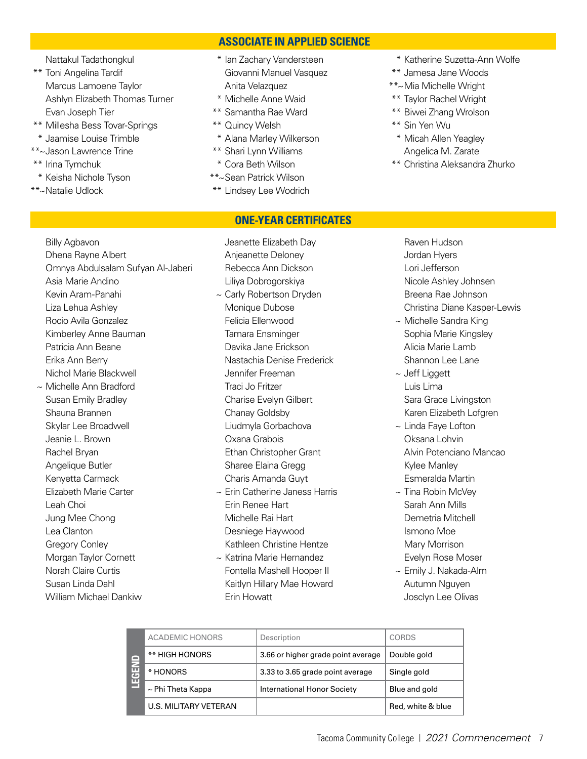### **ASSOCIATE IN APPLIED SCIENCE**

**ONE-YEAR CERTIFICATES**

Nattakul Tadathongkul

- \*\* Toni Angelina Tardif Marcus Lamoene Taylor Ashlyn Elizabeth Thomas Turner Evan Joseph Tier
- \*\* Millesha Bess Tovar-Springs
- \* Jaamise Louise Trimble
- \*\*~Jason Lawrence Trine
- \*\* Irina Tymchuk
- \* Keisha Nichole Tyson
- \*\*~Natalie Udlock

 Lea Clanton Gregory Conley Morgan Taylor Cornett Norah Claire Curtis Susan Linda Dahl William Michael Dankiw

### \* Ian Zachary Vandersteen Giovanni Manuel Vasquez Anita Velazquez

- \* Michelle Anne Waid
- \*\* Samantha Rae Ward
- \*\* Quincy Welsh
- \* Alana Marley Wilkerson
- \*\* Shari Lynn Williams
- \* Cora Beth Wilson
- \*\*~Sean Patrick Wilson
- \*\* Lindsey Lee Wodrich
- \* Katherine Suzetta-Ann Wolfe
- \*\* Jamesa Jane Woods
- \*\*~Mia Michelle Wright
- \*\* Taylor Rachel Wright
- \*\* Biwei Zhang Wrolson
- \*\* Sin Yen Wu
- \* Micah Allen Yeagley Angelica M. Zarate
- \*\* Christina Aleksandra Zhurko

 Billy Agbavon Dhena Rayne Albert Omnya Abdulsalam Sufyan Al-Jaberi Asia Marie Andino Kevin Aram-Panahi Liza Lehua Ashley Rocio Avila Gonzalez Kimberley Anne Bauman Patricia Ann Beane Erika Ann Berry Nichol Marie Blackwell ~ Michelle Ann Bradford Susan Emily Bradley Shauna Brannen Skylar Lee Broadwell Jeanie L. Brown Rachel Bryan Angelique Butler Kenyetta Carmack Elizabeth Marie Carter Leah Choi Jung Mee Chong

- Jeanette Elizabeth Day Anjeanette Deloney Rebecca Ann Dickson Liliya Dobrogorskiya ~ Carly Robertson Dryden Monique Dubose Felicia Ellenwood Tamara Ensminger Davika Jane Erickson Nastachia Denise Frederick Jennifer Freeman Traci Jo Fritzer Charise Evelyn Gilbert Chanay Goldsby Liudmyla Gorbachova Oxana Grabois Ethan Christopher Grant Sharee Elaina Gregg Charis Amanda Guyt  $\sim$  Erin Catherine Janess Harris Erin Renee Hart Michelle Rai Hart
- Desniege Haywood Kathleen Christine Hentze ~ Katrina Marie Hernandez
- Fontella Mashell Hooper II Kaitlyn Hillary Mae Howard Erin Howatt

 Raven Hudson Jordan Hyers Lori Jefferson Nicole Ashley Johnsen Breena Rae Johnson Christina Diane Kasper-Lewis

- $\sim$  Michelle Sandra King Sophia Marie Kingsley Alicia Marie Lamb Shannon Lee Lane
- ~ Jeff Liggett Luis Lima Sara Grace Livingston Karen Elizabeth Lofgren
- ~ Linda Faye Lofton Oksana Lohvin Alvin Potenciano Mancao Kylee Manley Esmeralda Martin
- $\sim$  Tina Robin McVev Sarah Ann Mills Demetria Mitchell Ismono Moe Mary Morrison Evelyn Rose Moser
- ~ Emily J. Nakada-Alm Autumn Nguyen Josclyn Lee Olivas

| $\overline{ }$<br>$\overline{c}$<br>ш | <b>ACADEMIC HONORS</b> | Description                        | <b>CORDS</b>      |
|---------------------------------------|------------------------|------------------------------------|-------------------|
|                                       | ** HIGH HONORS         | 3.66 or higher grade point average | Double gold       |
|                                       | * HONORS               | 3.33 to 3.65 grade point average   | Single gold       |
|                                       | $\sim$ Phi Theta Kappa | International Honor Society        | Blue and gold     |
|                                       | U.S. MILITARY VETERAN  |                                    | Red, white & blue |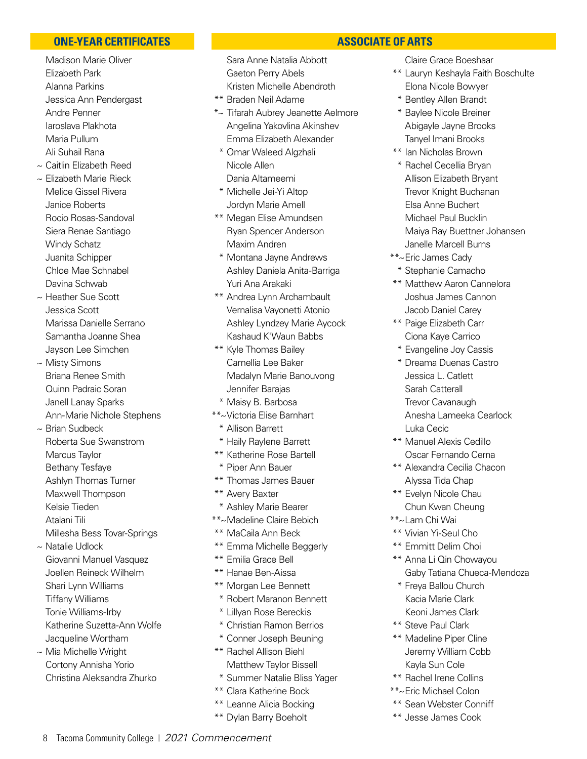### **ONE-YEAR CERTIFICATES**

- Madison Marie Oliver Elizabeth Park Alanna Parkins Jessica Ann Pendergast Andre Penner Iaroslava Plakhota Maria Pullum Ali Suhail Rana
- ~ Caitlin Elizabeth Reed
- ~ Elizabeth Marie Rieck Melice Gissel Rivera Janice Roberts Rocio Rosas-Sandoval Siera Renae Santiago Windy Schatz Juanita Schipper Chloe Mae Schnabel Davina Schwab
- ~ Heather Sue Scott Jessica Scott Marissa Danielle Serrano Samantha Joanne Shea Jayson Lee Simchen
- ~ Misty Simons Briana Renee Smith Quinn Padraic Soran Janell Lanay Sparks Ann-Marie Nichole Stephens
- ~ Brian Sudbeck Roberta Sue Swanstrom Marcus Taylor Bethany Tesfaye Ashlyn Thomas Turner Maxwell Thompson
- Kelsie Tieden
- Atalani Tili
- Millesha Bess Tovar-Springs
- ~ Natalie Udlock Giovanni Manuel Vasquez Joellen Reineck Wilhelm Shari Lynn Williams Tiffany Williams Tonie Williams-Irby Katherine Suzetta-Ann Wolfe Jacqueline Wortham
- ~ Mia Michelle Wright Cortony Annisha Yorio Christina Aleksandra Zhurko

### Sara Anne Natalia Abbott Gaeton Perry Abels Kristen Michelle Abendroth

- \*\* Braden Neil Adame
- \*~ Tifarah Aubrey Jeanette Aelmore Angelina Yakovlina Akinshev Emma Elizabeth Alexander
- \* Omar Waleed Algzhali Nicole Allen Dania Altameemi
- \* Michelle Jei-Yi Altop Jordyn Marie Amell
- \*\* Megan Elise Amundsen Ryan Spencer Anderson Maxim Andren
- \* Montana Jayne Andrews Ashley Daniela Anita-Barriga Yuri Ana Arakaki
- \*\* Andrea Lynn Archambault Vernalisa Vayonetti Atonio Ashley Lyndzey Marie Aycock Kashaud K'Waun Babbs
- \*\* Kyle Thomas Bailey Camellia Lee Baker Madalyn Marie Banouvong Jennifer Barajas
- \* Maisy B. Barbosa
- \*\*~Victoria Elise Barnhart
	- \* Allison Barrett
- \* Haily Raylene Barrett
- \*\* Katherine Rose Bartell
- \* Piper Ann Bauer
- \*\* Thomas James Bauer
- \*\* Avery Baxter
- \* Ashley Marie Bearer
- \*\*~Madeline Claire Bebich
- \*\* MaCaila Ann Beck
- \*\* Emma Michelle Beggerly
- \*\* Emilia Grace Bell
- \*\* Hanae Ben-Aissa
- \*\* Morgan Lee Bennett
- \* Robert Maranon Bennett
- \* Lillyan Rose Bereckis
- \* Christian Ramon Berrios
- \* Conner Joseph Beuning
- \*\* Rachel Allison Biehl Matthew Taylor Bissell
- \* Summer Natalie Bliss Yager
- \*\* Clara Katherine Bock
- \*\* Leanne Alicia Bocking
- \*\* Dylan Barry Boeholt

### **ASSOCIATE OF ARTS**

Claire Grace Boeshaar

- \*\* Lauryn Keshayla Faith Boschulte Elona Nicole Bowyer
- \* Bentley Allen Brandt
- \* Baylee Nicole Breiner Abigayle Jayne Brooks Tanyel Imani Brooks
- \*\* Ian Nicholas Brown
- \* Rachel Cecellia Bryan Allison Elizabeth Bryant Trevor Knight Buchanan Elsa Anne Buchert Michael Paul Bucklin Maiya Ray Buettner Johansen Janelle Marcell Burns
- \*\*~Eric James Cady
- \* Stephanie Camacho
- \*\* Matthew Aaron Cannelora Joshua James Cannon Jacob Daniel Carey
- \*\* Paige Elizabeth Carr Ciona Kaye Carrico
- \* Evangeline Joy Cassis
- \* Dreama Duenas Castro Jessica L. Catlett Sarah Catterall Trevor Cavanaugh Anesha Lameeka Cearlock Luka Cecic
- \*\* Manuel Alexis Cedillo Oscar Fernando Cerna
- \*\* Alexandra Cecilia Chacon Alyssa Tida Chap
- \*\* Evelyn Nicole Chau Chun Kwan Cheung
- \*\*~Lam Chi Wai
- \*\* Vivian Yi-Seul Cho
- \*\* Emmitt Delim Choi
- \*\* Anna Li Qin Chowayou Gaby Tatiana Chueca-Mendoza
- \* Freya Ballou Church Kacia Marie Clark Keoni James Clark
- \*\* Steve Paul Clark
- \*\* Madeline Piper Cline Jeremy William Cobb Kayla Sun Cole
- \*\* Rachel Irene Collins
- \*\*~Eric Michael Colon
- \*\* Sean Webster Conniff
- \*\* Jesse James Cook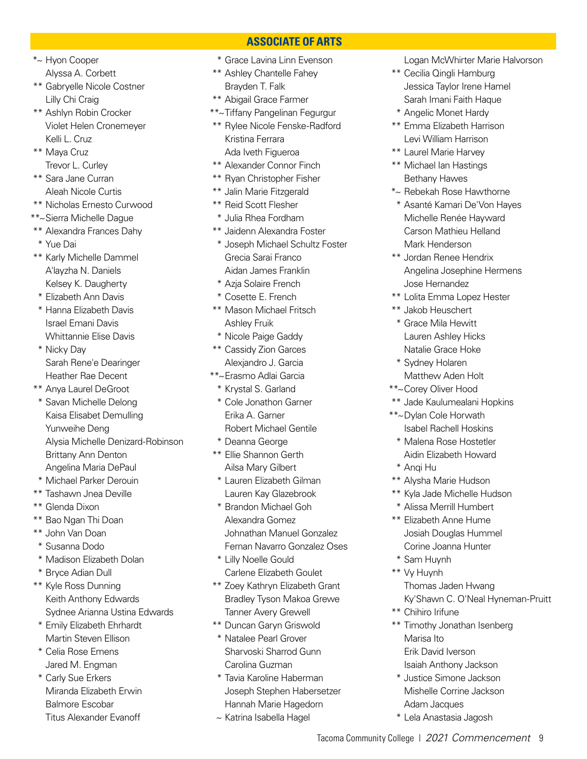\*~ Hyon Cooper Alyssa A. Corbett

- \*\* Gabryelle Nicole Costner Lilly Chi Craig
- \*\* Ashlyn Robin Crocker Violet Helen Cronemeyer Kelli L. Cruz

\*\* Maya Cruz Trevor L. Curley

- \*\* Sara Jane Curran Aleah Nicole Curtis
- \*\* Nicholas Ernesto Curwood
- \*\*~Sierra Michelle Dague
- \*\* Alexandra Frances Dahy
- \* Yue Dai
- \*\* Karly Michelle Dammel A'layzha N. Daniels Kelsey K. Daugherty
- \* Elizabeth Ann Davis
- \* Hanna Elizabeth Davis Israel Emani Davis Whittannie Elise Davis
- \* Nicky Day Sarah Rene'e Dearinger Heather Rae Decent

\*\* Anya Laurel DeGroot

- \* Savan Michelle Delong Kaisa Elisabet Demulling Yunweihe Deng Alysia Michelle Denizard-Robinson Brittany Ann Denton Angelina Maria DePaul
- \* Michael Parker Derouin
- \*\* Tashawn Jnea Deville
- \*\* Glenda Dixon
- \*\* Bao Ngan Thi Doan
- \*\* John Van Doan
- \* Susanna Dodo
- \* Madison Elizabeth Dolan
- \* Bryce Adian Dull
- \*\* Kyle Ross Dunning Keith Anthony Edwards Sydnee Arianna Ustina Edwards
- \* Emily Elizabeth Ehrhardt Martin Steven Ellison
- \* Celia Rose Emens Jared M. Engman
- \* Carly Sue Erkers Miranda Elizabeth Erwin Balmore Escobar Titus Alexander Evanoff

\* Grace Lavina Linn Evenson

 **ASSOCIATE OF ARTS**

- \*\* Ashley Chantelle Fahey
- Brayden T. Falk
- \*\* Abigail Grace Farmer
- \*\*~Tiffany Pangelinan Fegurgur
- \*\* Rylee Nicole Fenske-Radford Kristina Ferrara Ada Iveth Figueroa
- \*\* Alexander Connor Finch
- \*\* Ryan Christopher Fisher
- \*\* Jalin Marie Fitzgerald
- \*\* Reid Scott Flesher
- \* Julia Rhea Fordham
- \*\* Jaidenn Alexandra Foster
- \* Joseph Michael Schultz Foster Grecia Sarai Franco Aidan James Franklin
- \* Azja Solaire French
- \* Cosette E. French
- \*\* Mason Michael Fritsch Ashley Fruik
- \* Nicole Paige Gaddy
- \*\* Cassidy Zion Garces Alexjandro J. Garcia
- \*\*~Erasmo Adlai Garcia
	- \* Krystal S. Garland
	- \* Cole Jonathon Garner Erika A. Garner Robert Michael Gentile
	- \* Deanna George
- \*\* Ellie Shannon Gerth Ailsa Mary Gilbert
- \* Lauren Elizabeth Gilman Lauren Kay Glazebrook
- \* Brandon Michael Goh Alexandra Gomez Johnathan Manuel Gonzalez Fernan Navarro Gonzalez Oses
- \* Lilly Noelle Gould Carlene Elizabeth Goulet
- \*\* Zoey Kathryn Elizabeth Grant Bradley Tyson Makoa Grewe Tanner Avery Grewell
- \*\* Duncan Garyn Griswold
- \* Natalee Pearl Grover Sharvoski Sharrod Gunn Carolina Guzman
- \* Tavia Karoline Haberman Joseph Stephen Habersetzer Hannah Marie Hagedorn
- ~ Katrina Isabella Hagel

Logan McWhirter Marie Halvorson

- \*\* Cecilia Qingli Hamburg Jessica Taylor Irene Hamel Sarah Imani Faith Haque
- \* Angelic Monet Hardy
- \*\* Emma Elizabeth Harrison Levi William Harrison
- \*\* Laurel Marie Harvey
- \*\* Michael Ian Hastings Bethany Hawes
- \*~ Rebekah Rose Hawthorne
- \* Asanté Kamari De'Von Hayes Michelle Renée Hayward Carson Mathieu Helland Mark Henderson
- \*\* Jordan Renee Hendrix Angelina Josephine Hermens Jose Hernandez
- \*\* Lolita Emma Lopez Hester
- \*\* Jakob Heuschert
- \* Grace Mila Hewitt Lauren Ashley Hicks Natalie Grace Hoke
- \* Sydney Holaren Matthew Aden Holt
- \*\*~Corey Oliver Hood
- \*\* Jade Kaulumealani Hopkins
- \*\*~Dylan Cole Horwath Isabel Rachell Hoskins
	- \* Malena Rose Hostetler Aidin Elizabeth Howard
	- \* Anqi Hu
- \*\* Alysha Marie Hudson
- \*\* Kyla Jade Michelle Hudson
- \* Alissa Merrill Humbert
- \*\* Elizabeth Anne Hume Josiah Douglas Hummel Corine Joanna Hunter
- \* Sam Huynh
- \*\* Vy Huynh Thomas Jaden Hwang Ky'Shawn C. O'Neal Hyneman-Pruitt
- \*\* Chihiro Irifune
- \*\* Timothy Jonathan Isenberg Marisa Ito Erik David Iverson Isaiah Anthony Jackson
- \* Justice Simone Jackson Mishelle Corrine Jackson
- Adam Jacques \* Lela Anastasia Jagosh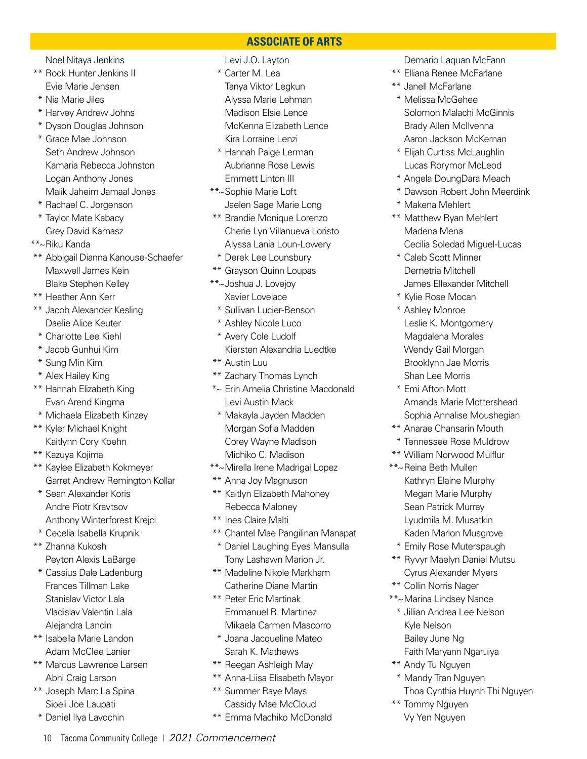Noel Nitaya Jenkins

- \*\* Rock Hunter Jenkins II Evie Marie Jensen
- \* Nia Marie Jiles
- \* Harvey Andrew Johns
- \* Dyson Douglas Johnson
- \* Grace Mae Johnson Seth Andrew Johnson Kamaria Rebecca Johnston Logan Anthony Jones Malik Jaheim Jamaal Jones
- \* Rachael C. Jorgenson
- \* Taylor Mate Kabacy Grey David Kamasz
- \*\*~Riku Kanda
- \*\* Abbigail Dianna Kanouse-Schaefer Maxwell James Kein Blake Stephen Kelley
- \*\* Heather Ann Kerr
- \*\* Jacob Alexander Kesling Daelie Alice Keuter
- \* Charlotte Lee Kiehl
- \* Jacob Gunhui Kim
- \* Sung Min Kim
- \* Alex Hailey King
- \*\* Hannah Elizabeth King Evan Arend Kingma
- \* Michaela Elizabeth Kinzey
- \*\* Kyler Michael Knight Kaitlynn Cory Koehn
- \*\* Kazuya Kojima
- \*\* Kaylee Elizabeth Kokmeyer Garret Andrew Remington Kollar
- \* Sean Alexander Koris Andre Piotr Kravtsov Anthony Winterforest Krejci
- \* Cecelia Isabella Krupnik
- \*\* Zhanna Kukosh Peyton Alexis LaBarge
- \* Cassius Dale Ladenburg Frances Tillman Lake Stanislav Victor Lala Vladislav Valentin Lala Alejandra Landin
- \*\* Isabella Marie Landon Adam McClee Lanier
- \*\* Marcus Lawrence Larsen Abhi Craig Larson
- \*\* Joseph Marc La Spina Sioeli Joe Laupati
- \* Daniel Ilya Lavochin

### Levi J.O. Layton

- \* Carter M. Lea Tanya Viktor Legkun
- Alyssa Marie Lehman Madison Elsie Lence McKenna Elizabeth Lence Kira Lorraine Lenzi

 **ASSOCIATE OF ARTS**

- \* Hannah Paige Lerman Aubrianne Rose Lewis Emmett Linton III
- \*\*~Sophie Marie Loft
- Jaelen Sage Marie Long
- \*\* Brandie Monique Lorenzo Cherie Lyn Villanueva Loristo Alyssa Lania Loun-Lowery
- \* Derek Lee Lounsbury
- \*\* Grayson Quinn Loupas
- \*\*~Joshua J. Lovejoy
	- Xavier Lovelace
	- \* Sullivan Lucier-Benson
	- \* Ashley Nicole Luco
	- \* Avery Cole Ludolf
	- Kiersten Alexandria Luedtke
- \*\* Austin Luu
- \*\* Zachary Thomas Lynch
- \*~ Erin Amelia Christine Macdonald Levi Austin Mack
- \* Makayla Jayden Madden Morgan Sofia Madden Corey Wayne Madison Michiko C. Madison
- \*\*~Mirella Irene Madrigal Lopez
- \*\* Anna Joy Magnuson
- \*\* Kaitlyn Elizabeth Mahoney Rebecca Maloney
- \*\* Ines Claire Malti
- \*\* Chantel Mae Pangilinan Manapat
- \* Daniel Laughing Eyes Mansulla Tony Lashawn Marion Jr.
- \*\* Madeline Nikole Markham Catherine Diane Martin
- \*\* Peter Eric Martinak Emmanuel R. Martinez Mikaela Carmen Mascorro
- \* Joana Jacqueline Mateo Sarah K. Mathews
- \*\* Reegan Ashleigh May
- \*\* Anna-Liisa Elisabeth Mayor
- \*\* Summer Raye Mays Cassidy Mae McCloud
- \*\* Emma Machiko McDonald

Demario Laquan McFann

- \*\* Elliana Renee McFarlane
- \*\* Janell McFarlane
- \* Melissa McGehee Solomon Malachi McGinnis Brady Allen McIlvenna Aaron Jackson McKernan
- \* Elijah Curtiss McLaughlin Lucas Rorymor McLeod
- \* Angela DoungDara Meach
- \* Dawson Robert John Meerdink
- \* Makena Mehlert
- \*\* Matthew Ryan Mehlert Madena Mena Cecilia Soledad Miguel-Lucas
- \* Caleb Scott Minner Demetria Mitchell James Ellexander Mitchell
- \* Kylie Rose Mocan
- \* Ashley Monroe Leslie K. Montgomery Magdalena Morales Wendy Gail Morgan Brooklynn Jae Morris Shan Lee Morris
- \* Emi Afton Mott Amanda Marie Mottershead Sophia Annalise Moushegian
- \*\* Anarae Chansarin Mouth
- \* Tennessee Rose Muldrow
- \*\* William Norwood Mulflur
- \*\*~Reina Beth Mullen Kathryn Elaine Murphy Megan Marie Murphy Sean Patrick Murray Lyudmila M. Musatkin Kaden Marlon Musgrove
	- \* Emily Rose Muterspaugh
- \*\* Ryvyr Maelyn Daniel Mutsu Cyrus Alexander Myers
- \*\* Collin Norris Nager
- \*\*~Marina Lindsey Nance
	- \* Jillian Andrea Lee Nelson Kyle Nelson Bailey June Ng
	- Faith Maryann Ngaruiya
- \*\* Andy Tu Nguyen
- \* Mandy Tran Nguyen Thoa Cynthia Huynh Thi Nguyen
- \*\* Tommy Nguyen Vy Yen Nguyen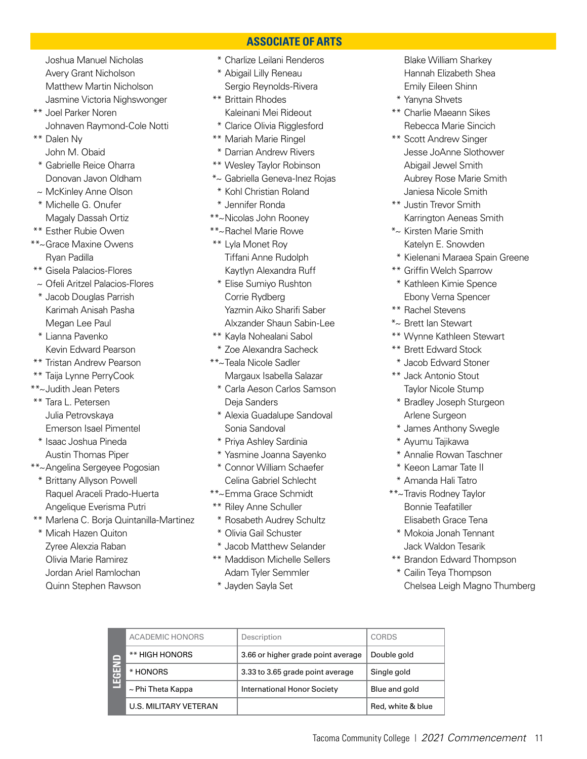Joshua Manuel Nicholas Avery Grant Nicholson Matthew Martin Nicholson Jasmine Victoria Nighswonger

- \*\* Joel Parker Noren Johnaven Raymond-Cole Notti
- \*\* Dalen Ny John M. Obaid
- \* Gabrielle Reice Oharra Donovan Javon Oldham
- ~ McKinley Anne Olson \* Michelle G. Onufer Magaly Dassah Ortiz
- \*\* Esther Rubie Owen
- \*\*~Grace Maxine Owens Ryan Padilla
- \*\* Gisela Palacios-Flores
- ~ Ofeli Aritzel Palacios-Flores
- \* Jacob Douglas Parrish Karimah Anisah Pasha Megan Lee Paul
- \* Lianna Pavenko Kevin Edward Pearson
- \*\* Tristan Andrew Pearson
- \*\* Taija Lynne PerryCook
- \*\*~Judith Jean Peters
- \*\* Tara L. Petersen Julia Petrovskaya Emerson Isael Pimentel \* Isaac Joshua Pineda
	- Austin Thomas Piper
- \*\*~Angelina Sergeyee Pogosian
	- \* Brittany Allyson Powell Raquel Araceli Prado-Huerta Angelique Everisma Putri
- \*\* Marlena C. Borja Quintanilla-Martinez
- \* Micah Hazen Quiton Zyree Alexzia Raban Olivia Marie Ramirez Jordan Ariel Ramlochan Quinn Stephen Rawson
- \* Charlize Leilani Renderos
- \* Abigail Lilly Reneau Sergio Reynolds-Rivera
- \*\* Brittain Rhodes Kaleinani Mei Rideout
- \* Clarice Olivia Rigglesford
- \*\* Mariah Marie Ringel
- \* Darrian Andrew Rivers
- \*\* Wesley Taylor Robinson
- \*~ Gabriella Geneva-Inez Rojas
- \* Kohl Christian Roland
- \* Jennifer Ronda
- \*\*~Nicolas John Rooney
- \*\*~Rachel Marie Rowe
- \*\* Lyla Monet Roy Tiffani Anne Rudolph Kaytlyn Alexandra Ruff
- \* Elise Sumiyo Rushton Corrie Rydberg Yazmin Aiko Sharifi Saber Alxzander Shaun Sabin-Lee
- \*\* Kayla Nohealani Sabol
- \* Zoe Alexandra Sacheck
- \*\*~Teala Nicole Sadler Margaux Isabella Salazar
	- \* Carla Aeson Carlos Samson Deja Sanders
	- \* Alexia Guadalupe Sandoval Sonia Sandoval
	- \* Priya Ashley Sardinia
- \* Yasmine Joanna Sayenko
- \* Connor William Schaefer Celina Gabriel Schlecht
- \*\*~Emma Grace Schmidt
- \*\* Riley Anne Schuller
- \* Rosabeth Audrey Schultz
- \* Olivia Gail Schuster
- \* Jacob Matthew Selander
- \*\* Maddison Michelle Sellers Adam Tyler Semmler
- \* Jayden Sayla Set

 Blake William Sharkey Hannah Elizabeth Shea Emily Eileen Shinn

- \* Yanyna Shvets
- \*\* Charlie Maeann Sikes Rebecca Marie Sincich
- \*\* Scott Andrew Singer Jesse JoAnne Slothower Abigail Jewel Smith Aubrey Rose Marie Smith Janiesa Nicole Smith
- \*\* Justin Trevor Smith Karrington Aeneas Smith
- \*~ Kirsten Marie Smith Katelyn E. Snowden
- \* Kielenani Maraea Spain Greene
- \*\* Griffin Welch Sparrow
- \* Kathleen Kimie Spence Ebony Verna Spencer
- \*\* Rachel Stevens
- \*~ Brett Ian Stewart
- \*\* Wynne Kathleen Stewart
- \*\* Brett Edward Stock
- \* Jacob Edward Stoner
- \*\* Jack Antonio Stout Taylor Nicole Stump
- \* Bradley Joseph Sturgeon Arlene Surgeon
- \* James Anthony Swegle
- \* Ayumu Tajikawa
- \* Annalie Rowan Taschner
- \* Keeon Lamar Tate II
- \* Amanda Hali Tatro
- \*\*~Travis Rodney Taylor Bonnie Teafatiller Elisabeth Grace Tena
	- \* Mokoia Jonah Tennant Jack Waldon Tesarik
- \*\* Brandon Edward Thompson
- \* Cailin Teya Thompson Chelsea Leigh Magno Thumberg

| π.<br>m | <b>ACADEMIC HONORS</b>       | Description                        | CORDS             |
|---------|------------------------------|------------------------------------|-------------------|
|         | ** HIGH HONORS               | 3.66 or higher grade point average | Double gold       |
|         | * HONORS                     | 3.33 to 3.65 grade point average   | Single gold       |
|         | $\sim$ Phi Theta Kappa       | <b>International Honor Society</b> | Blue and gold     |
|         | <b>U.S. MILITARY VETERAN</b> |                                    | Red, white & blue |

### **ASSOCIATE OF ARTS**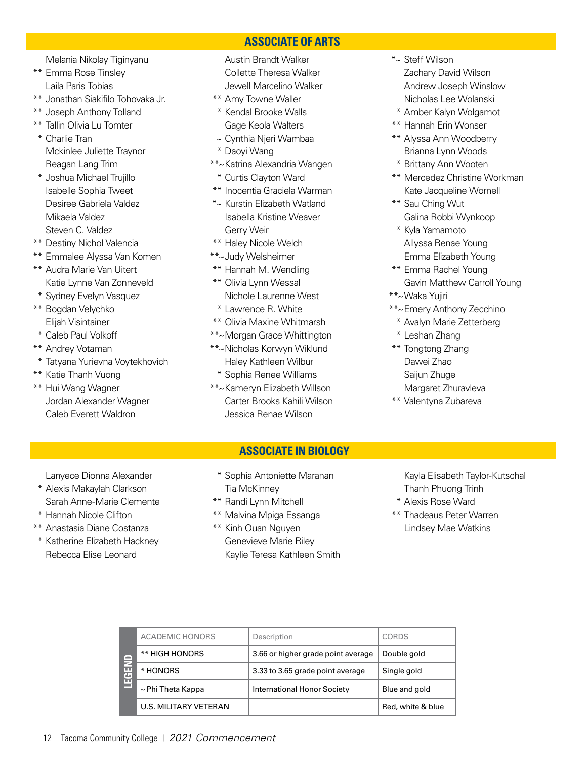**ASSOCIATE OF ARTS**

Melania Nikolay Tiginyanu

- \*\* Emma Rose Tinsley Laila Paris Tobias
- \*\* Jonathan Siakifilo Tohovaka Jr.
- \*\* Joseph Anthony Tolland
- \*\* Tallin Olivia Lu Tomter
- \* Charlie Tran Mckinlee Juliette Traynor Reagan Lang Trim
- \* Joshua Michael Trujillo Isabelle Sophia Tweet Desiree Gabriela Valdez Mikaela Valdez Steven C. Valdez
- \*\* Destiny Nichol Valencia
- \*\* Emmalee Alyssa Van Komen
- \*\* Audra Marie Van Uitert Katie Lynne Van Zonneveld
- \* Sydney Evelyn Vasquez
- \*\* Bogdan Velychko Elijah Visintainer
- \* Caleb Paul Volkoff
- \*\* Andrey Votaman
- \* Tatyana Yurievna Voytekhovich
- \*\* Katie Thanh Vuong
- \*\* Hui Wang Wagner Jordan Alexander Wagner Caleb Everett Waldron

 Lanyece Dionna Alexander \* Alexis Makaylah Clarkson Sarah Anne-Marie Clemente

\* Hannah Nicole Clifton \*\* Anastasia Diane Costanza \* Katherine Elizabeth Hackney Rebecca Elise Leonard

- Austin Brandt Walker Collette Theresa Walker Jewell Marcelino Walker
- \*\* Amy Towne Waller
- \* Kendal Brooke Walls Gage Keola Walters
- ~ Cynthia Njeri Wambaa
- \* Daoyi Wang
- \*\*~Katrina Alexandria Wangen
- \* Curtis Clayton Ward
- \*\* Inocentia Graciela Warman
- \*~ Kurstin Elizabeth Watland Isabella Kristine Weaver Gerry Weir
- \*\* Haley Nicole Welch
- \*\*~Judy Welsheimer
- \*\* Hannah M. Wendling
- \*\* Olivia Lynn Wessal Nichole Laurenne West
- \* Lawrence R. White
- \*\* Olivia Maxine Whitmarsh
- \*\*~Morgan Grace Whittington
- \*\*~Nicholas Korwyn Wiklund Haley Kathleen Wilbur
- \* Sophia Renee Williams \*\*~Kameryn Elizabeth Willson
	- Carter Brooks Kahili Wilson Jessica Renae Wilson

### **ASSOCIATE IN BIOLOGY**

- \* Sophia Antoniette Maranan Tia McKinney
- \*\* Randi Lynn Mitchell
- \*\* Malvina Mpiga Essanga
- \*\* Kinh Quan Nguyen Genevieve Marie Riley Kaylie Teresa Kathleen Smith
- Kayla Elisabeth Taylor-Kutschal Thanh Phuong Trinh
- \* Alexis Rose Ward
- \*\* Thadeaus Peter Warren Lindsey Mae Watkins

| r —<br>æ.<br>ш | <b>ACADEMIC HONORS</b> | Description                        | <b>CORDS</b>      |
|----------------|------------------------|------------------------------------|-------------------|
|                | ** HIGH HONORS         | 3.66 or higher grade point average | Double gold       |
|                | * HONORS               | 3.33 to 3.65 grade point average   | Single gold       |
|                | $\sim$ Phi Theta Kappa | International Honor Society        | Blue and gold     |
|                | U.S. MILITARY VETERAN  |                                    | Red, white & blue |

- \*~ Steff Wilson Zachary David Wilson Andrew Joseph Winslow Nicholas Lee Wolanski
- \* Amber Kalyn Wolgamot
- \*\* Hannah Erin Wonser
- \*\* Alyssa Ann Woodberry Brianna Lynn Woods
- \* Brittany Ann Wooten
- \*\* Mercedez Christine Workman Kate Jacqueline Wornell
- \*\* Sau Ching Wut Galina Robbi Wynkoop
- \* Kyla Yamamoto Allyssa Renae Young Emma Elizabeth Young
- \*\* Emma Rachel Young Gavin Matthew Carroll Young
- \*\*~Waka Yujiri
- \*\*~Emery Anthony Zecchino
	- \* Avalyn Marie Zetterberg
	- \* Leshan Zhang
- \*\* Tongtong Zhang Dawei Zhao Saijun Zhuge Margaret Zhuravleva
- \*\* Valentyna Zubareva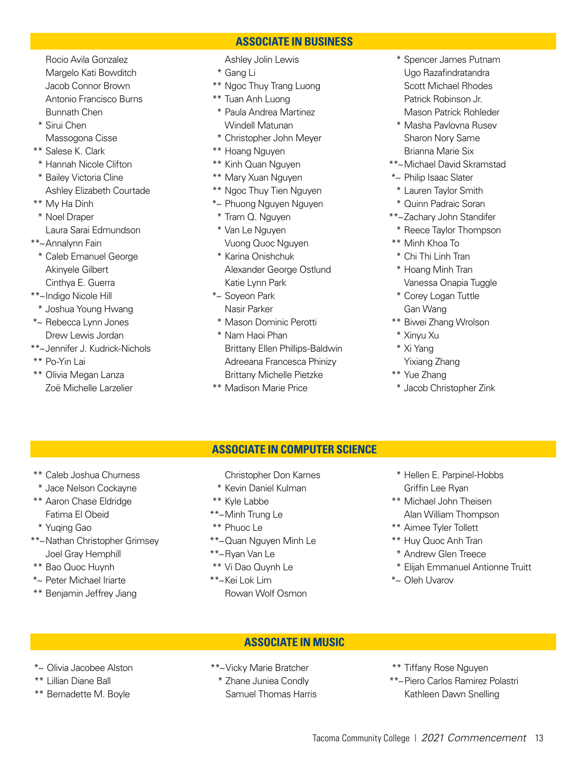Rocio Avila Gonzalez Margelo Kati Bowditch Jacob Connor Brown Antonio Francisco Burns Bunnath Chen

- \* Sirui Chen Massogona Cisse
- \*\* Salese K. Clark
- \* Hannah Nicole Clifton
- \* Bailey Victoria Cline Ashley Elizabeth Courtade
- \*\* My Ha Dinh \* Noel Draper Laura Sarai Edmundson
- \*\*~Annalynn Fain
	- \* Caleb Emanuel George Akinyele Gilbert Cinthya E. Guerra
- \*\*~Indigo Nicole Hill
- \* Joshua Young Hwang
- \*~ Rebecca Lynn Jones Drew Lewis Jordan
- \*\*~Jennifer J. Kudrick-Nichols
- \*\* Po-Yin Lai
- \*\* Olivia Megan Lanza Zoë Michelle Larzelier

### **ASSOCIATE IN BUSINESS**

- Ashley Jolin Lewis
- \* Gang Li
- \*\* Ngoc Thuy Trang Luong
- \*\* Tuan Anh Luong
- \* Paula Andrea Martinez Windell Matunan
- \* Christopher John Meyer
- \*\* Hoang Nguyen
- \*\* Kinh Quan Nguyen
- \*\* Mary Xuan Nguyen
- \*\* Ngoc Thuy Tien Nguyen
- \*~ Phuong Nguyen Nguyen
- \* Tram Q. Nguyen \* Van Le Nguyen
- Vuong Quoc Nguyen \* Karina Onishchuk Alexander George Ostlund
- Katie Lynn Park \*~ Soyeon Park Nasir Parker
- \* Mason Dominic Perotti
- \* Nam Haoi Phan Brittany Ellen Phillips-Baldwin Adreeana Francesca Phinizy Brittany Michelle Pietzke
- \*\* Madison Marie Price
- \* Spencer James Putnam Ugo Razafindratandra Scott Michael Rhodes Patrick Robinson Jr. Mason Patrick Rohleder
- \* Masha Pavlovna Rusev Sharon Nory Same Brianna Marie Six
- \*\*~Michael David Skramstad
- \*~ Philip Isaac Slater
- \* Lauren Taylor Smith
- \* Quinn Padraic Soran
- \*\*~Zachary John Standifer
- \* Reece Taylor Thompson
- \*\* Minh Khoa To
- \* Chi Thi Linh Tran
- \* Hoang Minh Tran Vanessa Onapia Tuggle
- \* Corey Logan Tuttle Gan Wang
- \*\* Biwei Zhang Wrolson
- \* Xinyu Xu
- \* Xi Yang
- Yixiang Zhang
- \*\* Yue Zhang
- \* Jacob Christopher Zink

### **ASSOCIATE IN COMPUTER SCIENCE**

- \*\* Caleb Joshua Churness
- \* Jace Nelson Cockayne
- \*\* Aaron Chase Eldridge Fatima El Obeid
- \* Yuqing Gao
- \*\*~Nathan Christopher Grimsey Joel Gray Hemphill
- \*\* Bao Quoc Huynh
- \*~ Peter Michael Iriarte
- \*\* Benjamin Jeffrey Jiang
- Christopher Don Karnes
- \* Kevin Daniel Kulman
- \*\* Kyle Labbe
- \*\*~Minh Trung Le
- \*\* Phuoc Le
- \*\*~Quan Nguyen Minh Le
- \*\*~Ryan Van Le
- \*\* Vi Dao Quynh Le
- \*\*~Kei Lok Lim Rowan Wolf Osmon
- \* Hellen E. Parpinel-Hobbs Griffin Lee Ryan
- \*\* Michael John Theisen Alan William Thompson
- \*\* Aimee Tyler Tollett
- \*\* Huy Quoc Anh Tran
- \* Andrew Glen Treece
- \* Elijah Emmanuel Antionne Truitt
- \*~ Oleh Uvarov

### **ASSOCIATE IN MUSIC**

- \*~ Olivia Jacobee Alston
- \*\* Lillian Diane Ball
- \*\* Bernadette M. Boyle

\*\*~Vicky Marie Bratcher \* Zhane Juniea Condly

- Samuel Thomas Harris
- \*\* Tiffany Rose Nguyen \*\*~Piero Carlos Ramirez Polastri Kathleen Dawn Snelling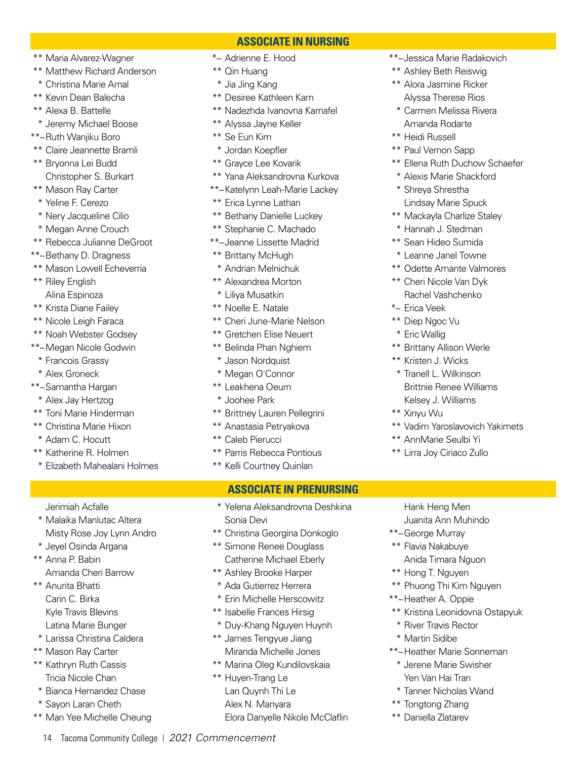- \*\* Maria Alvarez-Wagner
- \*\* Matthew Richard Anderson
- \* Christina Marie Arnal
- \*\* Kevin Dean Balecha
- \*\* Alexa B. Battelle
- \* Jeremy Michael Boose
- \*\*~Ruth Wanjiku Boro
- \*\* Claire Jeannette Bramli
- \*\* Bryonna Lei Budd Christopher S. Burkart
- \*\* Mason Ray Carter
- \* Yeline F. Cerezo
- \* Nery Jacqueline Cilio
- \* Megan Anne Crouch
- \*\* Rebecca Julianne DeGroot
- \*\*~Bethany D. Dragness
- \*\* Mason Lowell Echeverria
- \*\* Riley English Alina Espinoza
- \*\* Krista Diane Failey
- \*\* Nicole Leigh Faraca
- \*\* Noah Webster Godsey
- \*\*~Megan Nicole Godwin
	- \* Francois Grassy
	- \* Alex Groneck
- \*\*~Samantha Hargan
- \* Alex Jay Hertzog
- \*\* Toni Marie Hinderman
- \*\* Christina Marie Hixon
- \* Adam C. Hocutt
- \*\* Katherine R. Holmen

 Jerimiah Acfalle \* Malaika Manlutac Altera Misty Rose Joy Lynn Andro

\* Jeyel Osinda Argana

Amanda Cheri Barrow

\*\* Anna P. Babin

\*\* Anurita Bhatti Carin C. Birka Kyle Travis Blevins Latina Marie Bunger \* Larissa Christina Caldera

\*\* Mason Ray Carter \*\* Kathryn Ruth Cassis Tricia Nicole Chan \* Bianca Hernandez Chase \* Sayon Laran Cheth \*\* Man Yee Michelle Cheung

\* Elizabeth Mahealani Holmes

- **ASSOCIATE IN NURSING** \*~ Adrienne E. Hood
- \*\* Qin Huang
- \* Jia Jing Kang
- \*\* Desiree Kathleen Karn
- \*\* Nadezhda Ivanovna Karnafel
- \*\* Alyssa Jayne Keller
- \*\* Se Eun Kim
- \* Jordan Koepfler
- \*\* Grayce Lee Kovarik
- \*\* Yana Aleksandrovna Kurkova
- \*\*~Katelynn Leah-Marie Lackey
- \*\* Erica Lynne Lathan
- \*\* Bethany Danielle Luckey
- \*\* Stephanie C. Machado
- \*\*~Jeanne Lissette Madrid
- \*\* Brittany McHugh
- \* Andrian Melnichuk
- \*\* Alexandrea Morton
- \* Liliya Musatkin
- \*\* Noelle E. Natale
- \*\* Cheri June-Marie Nelson
- \*\* Gretchen Elise Neuert
- \*\* Belinda Phan Nghiem
- \* Jason Nordquist
- \* Megan O'Connor
- \*\* Leakhena Oeurn
- \* Joohee Park
- \*\* Brittney Lauren Pellegrini
- \*\* Anastasia Petryakova
- \*\* Caleb Pierucci
- \*\* Parris Rebecca Pontious
- \*\* Kelli Courtney Quinlan

### **ASSOCIATE IN PRENURSING**

- \* Yelena Aleksandrovna Deshkina Sonia Devi
- \*\* Christina Georgina Donkoglo
- \*\* Simone Renee Douglass Catherine Michael Eberly
- \*\* Ashley Brooke Harper
- \* Ada Gutierrez Herrera
- \* Erin Michelle Herscowitz
- \*\* Isabelle Frances Hirsig
- \* Duy-Khang Nguyen Huynh
- \*\* James Tengyue Jiang Miranda Michelle Jones
- \*\* Marina Oleg Kundilovskaia
- \*\* Huyen-Trang Le Lan Quynh Thi Le Alex N. Manyara

14 Tacoma Community College | *2021 Commencement*

Elora Danyelle Nikole McClaflin

- \*\*~Jessica Marie Radakovich
- \*\* Ashley Beth Reiswig
- \*\* Alora Jasmine Ricker Alyssa Therese Rios
- \* Carmen Melissa Rivera Amanda Rodarte
- \*\* Heidi Russell
- \*\* Paul Vernon Sapp
- \*\* Ellena Ruth Duchow Schaefer
- \* Alexis Marie Shackford
- \* Shreya Shrestha Lindsay Marie Spuck
- \*\* Mackayla Charlize Staley
- \* Hannah J. Stedman
- \*\* Sean Hideo Sumida
- \* Leanne Janel Towne
- \*\* Odette Amante Valmores
- \*\* Cheri Nicole Van Dyk Rachel Vashchenko
- \*~ Erica Veek
- \*\* Diep Ngoc Vu
- \* Eric Wallig
- \*\* Brittany Allison Werle
- \*\* Kristen J. Wicks
- \* Tranell L. Wilkinson Brittnie Renee Williams Kelsey J. Williams
- \*\* Xinyu Wu
- \*\* Vadim Yaroslavovich Yakimets
- \*\* AnnMarie Seulbi Yi

 Hank Heng Men Juanita Ann Muhindo

Anida Timara Nguon

\*\* Phuong Thi Kim Nguyen

\*\*~Heather Marie Sonneman \* Jerene Marie Swisher Yen Van Hai Tran \* Tanner Nicholas Wand

\*\* Kristina Leonidovna Ostapyuk

\*\*~George Murray \*\* Flavia Nakabuye

\*\* Hong T. Nguyen

\*\*~Heather A. Oppie

\*\* Tongtong Zhang \*\* Daniella Zlatarev

\* River Travis Rector \* Martin Sidibe

\*\* Lirra Joy Ciriaco Zullo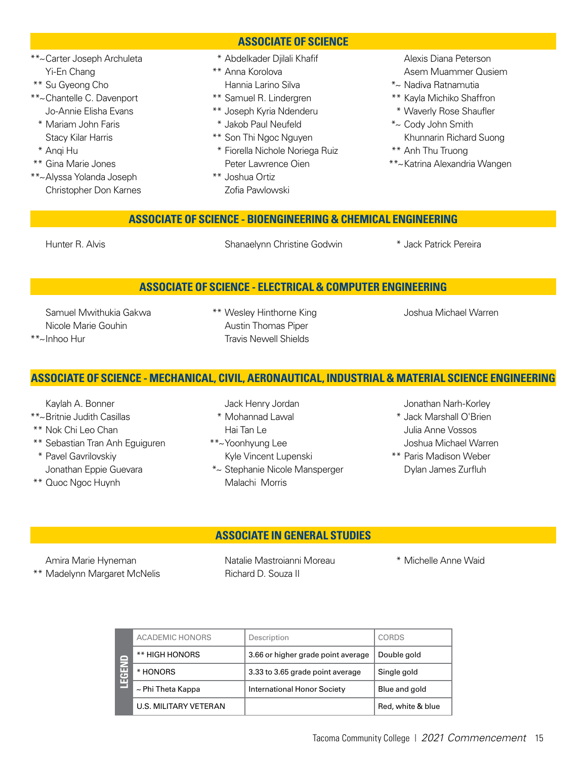### **ASSOCIATE OF SCIENCE**

- \* Abdelkader Djilali Khafif
- \*\* Anna Korolova Hannia Larino Silva
- \*\* Samuel R. Lindergren
- \*\* Joseph Kyria Ndenderu
- \* Jakob Paul Neufeld
- \*\* Son Thi Ngoc Nguyen \* Fiorella Nichole Noriega Ruiz
- Peter Lawrence Oien \*\* Joshua Ortiz
	- Zofia Pawlowski

 Alexis Diana Peterson Asem Muammer Qusiem

- \*~ Nadiva Ratnamutia
- \*\* Kayla Michiko Shaffron
- \* Waverly Rose Shaufler
- \*~ Cody John Smith Khunnarin Richard Suong
- \*\* Anh Thu Truong
- \*\*~Katrina Alexandria Wangen

### **ASSOCIATE OF SCIENCE - BIOENGINEERING & CHEMICAL ENGINEERING**

\*\* Gina Marie Jones \*\*~Alyssa Yolanda Joseph Christopher Don Karnes

\*\*~Carter Joseph Archuleta

 Yi-En Chang \*\* Su Gyeong Cho \*\*~Chantelle C. Davenport Jo-Annie Elisha Evans \* Mariam John Faris Stacy Kilar Harris

\* Anqi Hu

Hunter R. Alvis **Shanaelynn Christine Godwin** \* Jack Patrick Pereira

### **ASSOCIATE OF SCIENCE - ELECTRICAL & COMPUTER ENGINEERING**

 Samuel Mwithukia Gakwa Nicole Marie Gouhin \*\*~Inhoo Hur

\*\* Wesley Hinthorne King Austin Thomas Piper Travis Newell Shields

Joshua Michael Warren

### **ASSOCIATE OF SCIENCE - MECHANICAL, CIVIL, AERONAUTICAL, INDUSTRIAL & MATERIAL SCIENCE ENGINEERING**

Kaylah A. Bonner

- \*\*~Britnie Judith Casillas
- \*\* Nok Chi Leo Chan
- \*\* Sebastian Tran Anh Eguiguren
- \* Pavel Gavrilovskiy Jonathan Eppie Guevara
- \*\* Quoc Ngoc Huynh

Jack Henry Jordan

- \* Mohannad Lawal Hai Tan Le
- \*\*~Yoonhyung Lee Kyle Vincent Lupenski
- \*~ Stephanie Nicole Mansperger Malachi Morris

Jonathan Narh-Korley

- \* Jack Marshall O'Brien Julia Anne Vossos Joshua Michael Warren
- \*\* Paris Madison Weber Dylan James Zurfluh

### **ASSOCIATE IN GENERAL STUDIES**

 Amira Marie Hyneman \*\* Madelynn Margaret McNelis  Natalie Mastroianni Moreau Richard D. Souza II

\* Michelle Anne Waid

| 冒<br>$\overline{G}$<br>ш | <b>ACADEMIC HONORS</b>       | Description                        | <b>CORDS</b>      |
|--------------------------|------------------------------|------------------------------------|-------------------|
|                          | ** HIGH HONORS               | 3.66 or higher grade point average | Double gold       |
|                          | * HONORS                     | 3.33 to 3.65 grade point average   | Single gold       |
|                          | $\sim$ Phi Theta Kappa       | International Honor Society        | Blue and gold     |
|                          | <b>U.S. MILITARY VETERAN</b> |                                    | Red, white & blue |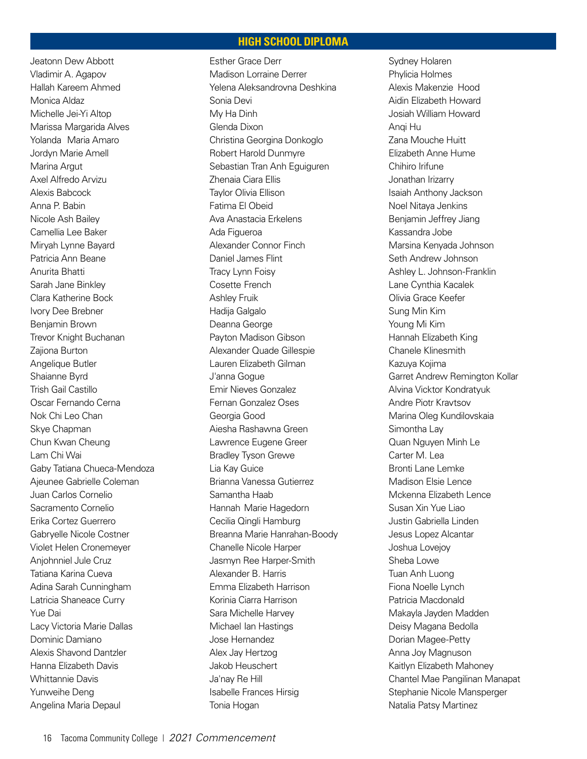### **HIGH SCHOOL DIPLOMA**

Jeatonn Dew Abbott Vladimir A. Agapov Hallah Kareem Ahmed Monica Aldaz Michelle Jei-Yi Altop Marissa Margarida Alves Yolanda Maria Amaro Jordyn Marie Amell Marina Argut Axel Alfredo Arvizu Alexis Babcock Anna P. Babin Nicole Ash Bailey Camellia Lee Baker Miryah Lynne Bayard Patricia Ann Beane Anurita Bhatti Sarah Jane Binkley Clara Katherine Bock Ivory Dee Brebner Benjamin Brown Trevor Knight Buchanan Zajiona Burton Angelique Butler Shaianne Byrd Trish Gail Castillo Oscar Fernando Cerna Nok Chi Leo Chan Skye Chapman Chun Kwan Cheung Lam Chi Wai Gaby Tatiana Chueca-Mendoza Ajeunee Gabrielle Coleman Juan Carlos Cornelio Sacramento Cornelio Erika Cortez Guerrero Gabryelle Nicole Costner Violet Helen Cronemeyer Anjohnniel Jule Cruz Tatiana Karina Cueva Adina Sarah Cunningham Latricia Shaneace Curry Yue Dai Lacy Victoria Marie Dallas Dominic Damiano Alexis Shavond Dantzler Hanna Elizabeth Davis Whittannie Davis Yunweihe Deng Angelina Maria Depaul

Esther Grace Derr Madison Lorraine Derrer Yelena Aleksandrovna Deshkina Sonia Devi My Ha Dinh Glenda Dixon Christina Georgina Donkoglo Robert Harold Dunmyre Sebastian Tran Anh Eguiguren Zhenaia Ciara Ellis Taylor Olivia Ellison Fatima El Obeid Ava Anastacia Erkelens Ada Figueroa Alexander Connor Finch Daniel James Flint Tracy Lynn Foisy Cosette French Ashley Fruik Hadija Galgalo Deanna George Payton Madison Gibson Alexander Quade Gillespie Lauren Elizabeth Gilman J'anna Gogue Emir Nieves Gonzalez Fernan Gonzalez Oses Georgia Good Aiesha Rashawna Green Lawrence Eugene Greer Bradley Tyson Grewe Lia Kay Guice Brianna Vanessa Gutierrez Samantha Haab Hannah Marie Hagedorn Cecilia Qingli Hamburg Breanna Marie Hanrahan-Boody Chanelle Nicole Harper Jasmyn Ree Harper-Smith Alexander B. Harris Emma Elizabeth Harrison Korinia Ciarra Harrison Sara Michelle Harvey Michael Ian Hastings Jose Hernandez Alex Jay Hertzog Jakob Heuschert Ja'nay Re Hill Isabelle Frances Hirsig Tonia Hogan

Sydney Holaren Phylicia Holmes Alexis Makenzie Hood Aidin Elizabeth Howard Josiah William Howard Anqi Hu Zana Mouche Huitt Elizabeth Anne Hume Chihiro Irifune Jonathan Irizarry Isaiah Anthony Jackson Noel Nitaya Jenkins Benjamin Jeffrey Jiang Kassandra Jobe Marsina Kenyada Johnson Seth Andrew Johnson Ashley L. Johnson-Franklin Lane Cynthia Kacalek Olivia Grace Keefer Sung Min Kim Young Mi Kim Hannah Elizabeth King Chanele Klinesmith Kazuya Kojima Garret Andrew Remington Kollar Alvina Vicktor Kondratyuk Andre Piotr Kravtsov Marina Oleg Kundilovskaia Simontha Lay Quan Nguyen Minh Le Carter M. Lea Bronti Lane Lemke Madison Elsie Lence Mckenna Elizabeth Lence Susan Xin Yue Liao Justin Gabriella Linden Jesus Lopez Alcantar Joshua Lovejoy Sheba Lowe Tuan Anh Luong Fiona Noelle Lynch Patricia Macdonald Makayla Jayden Madden Deisy Magana Bedolla Dorian Magee-Petty Anna Joy Magnuson Kaitlyn Elizabeth Mahoney Chantel Mae Pangilinan Manapat Stephanie Nicole Mansperger Natalia Patsy Martinez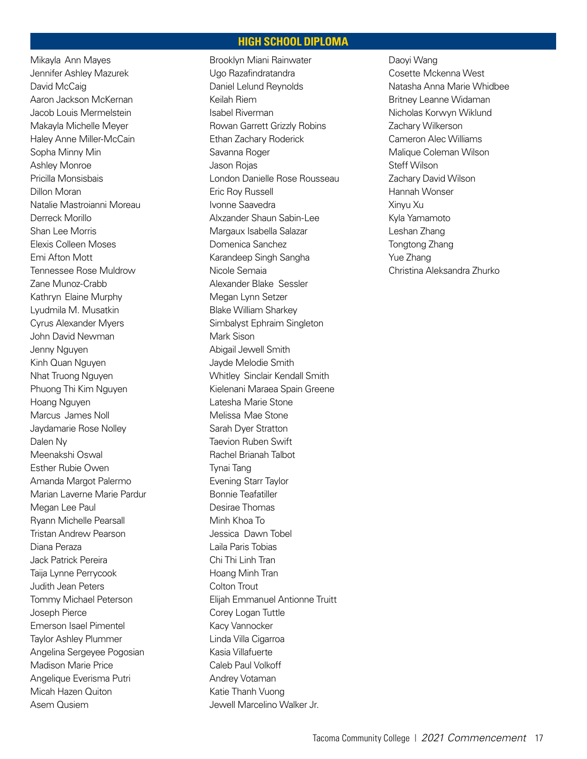### **HIGH SCHOOL DIPLOMA**

Mikayla Ann Mayes Jennifer Ashley Mazurek David McCaig Aaron Jackson McKernan Jacob Louis Mermelstein Makayla Michelle Meyer Haley Anne Miller-McCain Sopha Minny Min Ashley Monroe Pricilla Monsisbais Dillon Moran Natalie Mastroianni Moreau Derreck Morillo Shan Lee Morris Elexis Colleen Moses Emi Afton Mott Tennessee Rose Muldrow Zane Munoz-Crabb Kathryn Elaine Murphy Lyudmila M. Musatkin Cyrus Alexander Myers John David Newman Jenny Nguyen Kinh Quan Nguyen Nhat Truong Nguyen Phuong Thi Kim Nguyen Hoang Nguyen Marcus James Noll Jaydamarie Rose Nolley Dalen Ny Meenakshi Oswal Esther Rubie Owen Amanda Margot Palermo Marian Laverne Marie Pardur Megan Lee Paul Ryann Michelle Pearsall Tristan Andrew Pearson Diana Peraza Jack Patrick Pereira Taija Lynne Perrycook Judith Jean Peters Tommy Michael Peterson Joseph Pierce Emerson Isael Pimentel Taylor Ashley Plummer Angelina Sergeyee Pogosian Madison Marie Price Angelique Everisma Putri Micah Hazen Quiton Asem Qusiem

Brooklyn Miani Rainwater Ugo Razafindratandra Daniel Lelund Reynolds Keilah Riem Isabel Riverman Rowan Garrett Grizzly Robins Ethan Zachary Roderick Savanna Roger Jason Rojas London Danielle Rose Rousseau Eric Roy Russell Ivonne Saavedra Alxzander Shaun Sabin-Lee Margaux Isabella Salazar Domenica Sanchez Karandeep Singh Sangha Nicole Semaia Alexander Blake Sessler Megan Lynn Setzer Blake William Sharkey Simbalyst Ephraim Singleton Mark Sison Abigail Jewell Smith Jayde Melodie Smith Whitley Sinclair Kendall Smith Kielenani Maraea Spain Greene Latesha Marie Stone Melissa Mae Stone Sarah Dyer Stratton Taevion Ruben Swift Rachel Brianah Talbot Tynai Tang Evening Starr Taylor Bonnie Teafatiller Desirae Thomas Minh Khoa To Jessica Dawn Tobel Laila Paris Tobias Chi Thi Linh Tran Hoang Minh Tran Colton Trout Elijah Emmanuel Antionne Truitt Corey Logan Tuttle Kacy Vannocker Linda Villa Cigarroa Kasia Villafuerte Caleb Paul Volkoff Andrey Votaman Katie Thanh Vuong Jewell Marcelino Walker Jr.

Daoyi Wang Cosette Mckenna West Natasha Anna Marie Whidbee Britney Leanne Widaman Nicholas Korwyn Wiklund Zachary Wilkerson Cameron Alec Williams Malique Coleman Wilson Steff Wilson Zachary David Wilson Hannah Wonser Xinyu Xu Kyla Yamamoto Leshan Zhang Tongtong Zhang Yue Zhang Christina Aleksandra Zhurko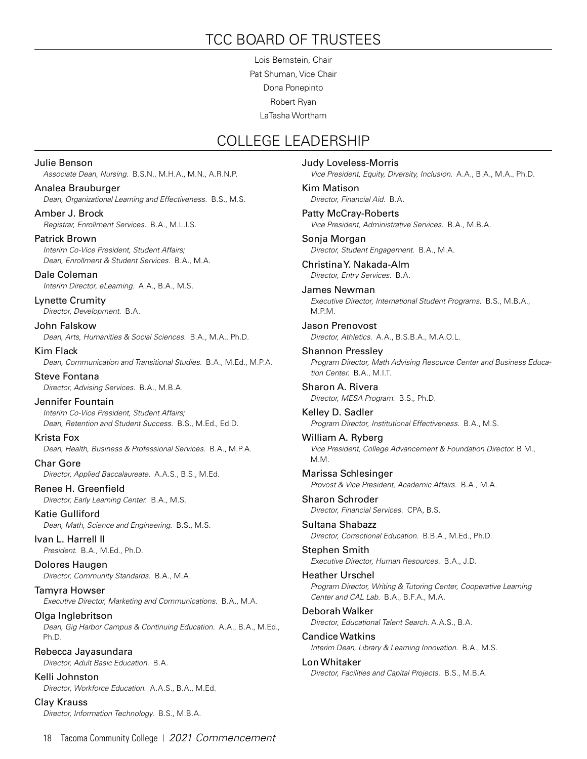### TCC BOARD OF TRUSTEES

Lois Bernstein, Chair Pat Shuman, Vice Chair Dona Ponepinto Robert Ryan LaTasha Wortham

### COLLEGE LEADERSHIP

Julie Benson *Associate Dean, Nursing.* B.S.N., M.H.A., M.N., A.R.N.P. Analea Brauburger *Dean, Organizational Learning and Effectiveness.* B.S., M.S. Amber J. Brock *Registrar, Enrollment Services.* B.A., M.L.I.S. Patrick Brown *Interim Co-Vice President, Student Affairs; Dean, Enrollment & Student Services.* B.A., M.A. Dale Coleman *Interim Director, eLearning.* A.A., B.A., M.S. Lynette Crumity *Director, Development.* B.A. John Falskow *Dean, Arts, Humanities & Social Sciences.* B.A., M.A., Ph.D. Kim Flack *Dean, Communication and Transitional Studies.* B.A., M.Ed., M.P.A. Steve Fontana *Director, Advising Services.* B.A., M.B.A. Jennifer Fountain *Interim Co-Vice President, Student Affairs; Dean, Retention and Student Success.* B.S., M.Ed., Ed.D. Krista Fox *Dean, Health, Business & Professional Services.* B.A., M.P.A. Char Gore *Director, Applied Baccalaureate.* A.A.S., B.S., M.Ed. Renee H. Greenfield *Director, Early Learning Center.* B.A., M.S. Katie Gulliford *Dean, Math, Science and Engineering.* B.S., M.S. Ivan L. Harrell II *President.* B.A., M.Ed., Ph.D. Dolores Haugen *Director, Community Standards.* B.A., M.A. Tamyra Howser *Executive Director, Marketing and Communications.* B.A., M.A. Olga Inglebritson *Dean, Gig Harbor Campus & Continuing Education.* A.A., B.A., M.Ed., Ph.D. Rebecca Jayasundara *Director, Adult Basic Education.* B.A. Kelli Johnston *Director, Workforce Education.* A.A.S., B.A., M.Ed. Clay Krauss

Judy Loveless-Morris *Vice President, Equity, Diversity, Inclusion.* A.A., B.A., M.A., Ph.D. Kim Matison *Director, Financial Aid.* B.A. Patty McCray-Roberts *Vice President, Administrative Services.* B.A., M.B.A. Sonja Morgan *Director, Student Engagement.* B.A., M.A. Christina Y. Nakada-Alm *Director, Entry Services.* B.A. James Newman *Executive Director, International Student Programs.* B.S., M.B.A., M.P.M. Jason Prenovost *Director, Athletics.* A.A., B.S.B.A., M.A.O.L. Shannon Pressley *Program Director, Math Advising Resource Center and Business Education Center.* B.A., M.I.T. Sharon A. Rivera *Director, MESA Program.* B.S., Ph.D. Kelley D. Sadler *Program Director, Institutional Effectiveness.* B.A., M.S. William A. Ryberg *Vice President, College Advancement & Foundation Director.* B.M., M.M. Marissa Schlesinger *Provost & Vice President, Academic Affairs.* B.A., M.A. Sharon Schroder *Director, Financial Services.* CPA, B.S. Sultana Shabazz *Director, Correctional Education.* B.B.A., M.Ed., Ph.D. Stephen Smith *Executive Director, Human Resources.* B.A., J.D. Heather Urschel *Program Director, Writing & Tutoring Center, Cooperative Learning Center and CAL Lab.* B.A., B.F.A., M.A. Deborah Walker *Director, Educational Talent Search.* A.A.S., B.A. Candice Watkins *Interim Dean, Library & Learning Innovation.* B.A., M.S. Lon Whitaker *Director, Facilities and Capital Projects.* B.S., M.B.A.

*Director, Information Technology.* B.S., M.B.A.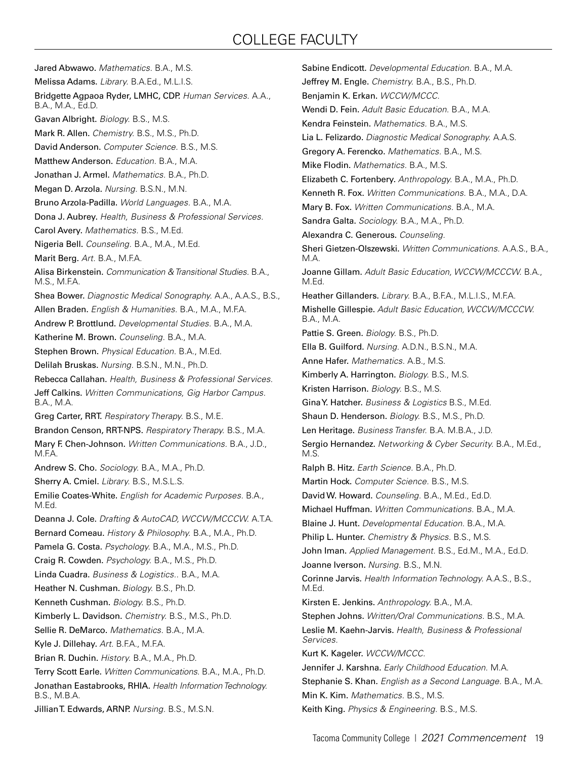### COLLEGE FACULTY

Jared Abwawo. *Mathematics.* B.A., M.S. Melissa Adams. *Library.* B.A.Ed., M.L.I.S. Bridgette Agpaoa Ryder, LMHC, CDP. *Human Services.* A.A., B.A., M.A., Ed.D. Gavan Albright. *Biology.* B.S., M.S. Mark R. Allen. *Chemistry.* B.S., M.S., Ph.D. David Anderson. *Computer Science.* B.S., M.S. Matthew Anderson. *Education.* B.A., M.A. Jonathan J. Armel. *Mathematics.* B.A., Ph.D. Megan D. Arzola. *Nursing.* B.S.N., M.N. Bruno Arzola-Padilla. *World Languages.* B.A., M.A. Dona J. Aubrey. *Health, Business & Professional Services.* Carol Avery. *Mathematics.* B.S., M.Ed. Nigeria Bell. *Counseling.* B.A., M.A., M.Ed. Marit Berg. *Art.* B.A., M.F.A. Alisa Birkenstein. *Communication & Transitional Studies.* B.A., M.S., M.F.A. Shea Bower. *Diagnostic Medical Sonography.* A.A., A.A.S., B.S., Allen Braden. *English & Humanities.* B.A., M.A., M.F.A. Andrew P. Brottlund. *Developmental Studies.* B.A., M.A. Katherine M. Brown. *Counseling.* B.A., M.A. Stephen Brown. *Physical Education.* B.A., M.Ed. Delilah Bruskas. *Nursing.* B.S.N., M.N., Ph.D. Rebecca Callahan. *Health, Business & Professional Services.* Jeff Calkins. *Written Communications, Gig Harbor Campus.*  B.A., M.A. Greg Carter, RRT. *Respiratory Therapy.* B.S., M.E. Brandon Censon, RRT-NPS. *Respiratory Therapy.* B.S., M.A. Mary F. Chen-Johnson. *Written Communications.* B.A., J.D., M.F.A. Andrew S. Cho. *Sociology.* B.A., M.A., Ph.D. Sherry A. Cmiel. *Library.* B.S., M.S.L.S. Emilie Coates-White. *English for Academic Purposes.* B.A., M.Ed. Deanna J. Cole. *Drafting & AutoCAD, WCCW/MCCCW.* A.T.A. Bernard Comeau. *History & Philosophy.* B.A., M.A., Ph.D. Pamela G. Costa. *Psychology.* B.A., M.A., M.S., Ph.D. Craig R. Cowden. *Psychology.* B.A., M.S., Ph.D. Linda Cuadra. *Business & Logistics..* B.A., M.A. Heather N. Cushman. *Biology.* B.S., Ph.D. Kenneth Cushman. *Biology.* B.S., Ph.D. Kimberly L. Davidson. *Chemistry.* B.S., M.S., Ph.D. Sellie R. DeMarco. *Mathematics.* B.A., M.A. Kyle J. Dillehay. *Art.* B.F.A., M.F.A. Brian R. Duchin. *History.* B.A., M.A., Ph.D. Terry Scott Earle. *Written Communications.* B.A., M.A., Ph.D. Jonathan Eastabrooks, RHIA. *Health Information Technology.*  B.S., M.B.A. Jillian T. Edwards, ARNP. *Nursing.* B.S., M.S.N.

Sabine Endicott. *Developmental Education.* B.A., M.A. Jeffrey M. Engle. *Chemistry.* B.A., B.S., Ph.D. Benjamin K. Erkan. *WCCW/MCCC.*  Wendi D. Fein. *Adult Basic Education.* B.A., M.A. Kendra Feinstein. *Mathematics.* B.A., M.S. Lia L. Felizardo. *Diagnostic Medical Sonography.* A.A.S. Gregory A. Ferencko. *Mathematics.* B.A., M.S. Mike Flodin. *Mathematics.* B.A., M.S. Elizabeth C. Fortenbery. *Anthropology.* B.A., M.A., Ph.D. Kenneth R. Fox. *Written Communications.* B.A., M.A., D.A. Mary B. Fox. *Written Communications.* B.A., M.A. Sandra Galta. *Sociology.* B.A., M.A., Ph.D. Alexandra C. Generous. *Counseling.* Sheri Gietzen-Olszewski. *Written Communications.* A.A.S., B.A., M.A. Joanne Gillam. *Adult Basic Education, WCCW/MCCCW.* B.A., M.Ed. Heather Gillanders. *Library.* B.A., B.F.A., M.L.I.S., M.F.A. Mishelle Gillespie. *Adult Basic Education, WCCW/MCCCW.*  B.A., M.A. Pattie S. Green. *Biology.* B.S., Ph.D. Ella B. Guilford. *Nursing.* A.D.N., B.S.N., M.A. Anne Hafer. *Mathematics.* A.B., M.S. Kimberly A. Harrington. *Biology.* B.S., M.S. Kristen Harrison. *Biology.* B.S., M.S. Gina Y. Hatcher. *Business & Logistics* B.S., M.Ed. Shaun D. Henderson. *Biology.* B.S., M.S., Ph.D. Len Heritage. *Business Transfer.* B.A. M.B.A., J.D. Sergio Hernandez. *Networking & Cyber Security.* B.A., M.Ed., M.S. Ralph B. Hitz. *Earth Science.* B.A., Ph.D. Martin Hock. *Computer Science.* B.S., M.S. David W. Howard. *Counseling.* B.A., M.Ed., Ed.D. Michael Huffman. *Written Communications.* B.A., M.A. Blaine J. Hunt. *Developmental Education.* B.A., M.A. Philip L. Hunter. *Chemistry & Physics.* B.S., M.S. John Iman. *Applied Management.* B.S., Ed.M., M.A., Ed.D. Joanne Iverson. *Nursing.* B.S., M.N. Corinne Jarvis. *Health Information Technology.* A.A.S., B.S., M.Ed. Kirsten E. Jenkins. *Anthropology.* B.A., M.A. Stephen Johns. *Written/Oral Communications.* B.S., M.A. Leslie M. Kaehn-Jarvis. *Health, Business & Professional Services.* Kurt K. Kageler. *WCCW/MCCC.* Jennifer J. Karshna. *Early Childhood Education.* M.A. Stephanie S. Khan. *English as a Second Language.* B.A., M.A. Min K. Kim. *Mathematics.* B.S., M.S. Keith King. *Physics & Engineering.* B.S., M.S.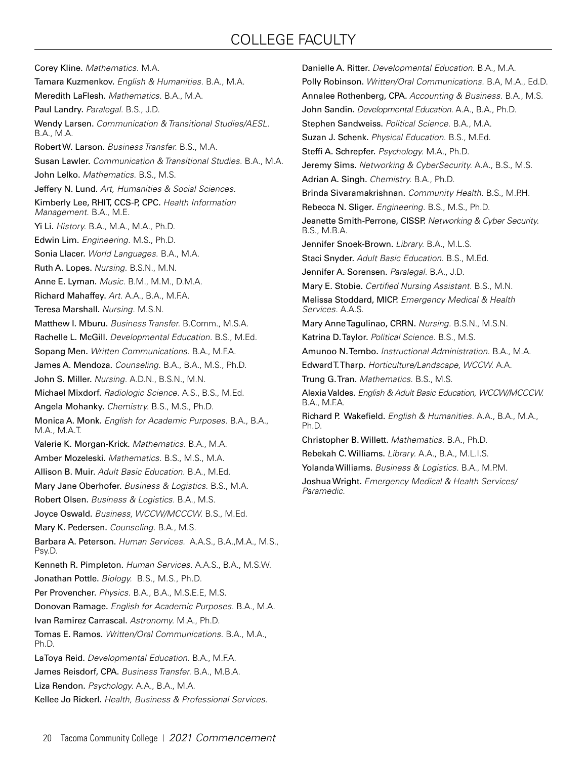### COLLEGE FACULTY

Corey Kline. *Mathematics.* M.A. Tamara Kuzmenkov. *English & Humanities.* B.A., M.A. Meredith LaFlesh. *Mathematics.* B.A., M.A. Paul Landry. *Paralegal.* B.S., J.D. Wendy Larsen. *Communication & Transitional Studies/AESL.*  B.A., M.A. Robert W. Larson. *Business Transfer.* B.S., M.A. Susan Lawler. *Communication & Transitional Studies.* B.A., M.A. John Lelko. *Mathematics.* B.S., M.S. Jeffery N. Lund. *Art, Humanities & Social Sciences.* Kimberly Lee, RHIT, CCS-P, CPC. *Health Information Management.* B.A., M.E. Yi Li. *History.* B.A., M.A., M.A., Ph.D. Edwin Lim. *Engineering.* M.S., Ph.D. Sonia Llacer. *World Languages.* B.A., M.A. Ruth A. Lopes. *Nursing.* B.S.N., M.N. Anne E. Lyman. *Music.* B.M., M.M., D.M.A. Richard Mahaffey. *Art.* A.A., B.A., M.F.A. Teresa Marshall. *Nursing.* M.S.N. Matthew I. Mburu. *Business Transfer.* B.Comm., M.S.A. Rachelle L. McGill. *Developmental Education.* B.S., M.Ed. Sopang Men. *Written Communications.* B.A., M.F.A. James A. Mendoza. *Counseling.* B.A., B.A., M.S., Ph.D. John S. Miller. *Nursing.* A.D.N., B.S.N., M.N. Michael Mixdorf. *Radiologic Science.* A.S., B.S., M.Ed. Angela Mohanky. *Chemistry.* B.S., M.S., Ph.D. Monica A. Monk. *English for Academic Purposes.* B.A., B.A., M.A., M.A.T. Valerie K. Morgan-Krick. *Mathematics.* B.A., M.A. Amber Mozeleski. *Mathematics.* B.S., M.S., M.A. Allison B. Muir. *Adult Basic Education.* B.A., M.Ed. Mary Jane Oberhofer. *Business & Logistics.* B.S., M.A. Robert Olsen. *Business & Logistics.* B.A., M.S. Joyce Oswald. *Business, WCCW/MCCCW.* B.S., M.Ed. Mary K. Pedersen. *Counseling.* B.A., M.S. Barbara A. Peterson. *Human Services.* A.A.S., B.A.,M.A., M.S., Psy.D. Kenneth R. Pimpleton. *Human Services.* A.A.S., B.A., M.S.W. Jonathan Pottle. *Biology.* B.S., M.S., Ph.D. Per Provencher. *Physics.* B.A., B.A., M.S.E.E, M.S. Donovan Ramage. *English for Academic Purposes.* B.A., M.A. Ivan Ramirez Carrascal. *Astronomy.* M.A., Ph.D. Tomas E. Ramos. *Written/Oral Communications.* B.A., M.A., Ph.D. LaToya Reid. *Developmental Education.* B.A., M.F.A. James Reisdorf, CPA. *Business Transfer.* B.A., M.B.A. Liza Rendon. *Psychology.* A.A., B.A., M.A. Kellee Jo Rickerl. *Health, Business & Professional Services.*

Danielle A. Ritter. *Developmental Education.* B.A., M.A. Polly Robinson. *Written/Oral Communications.* B.A, M.A., Ed.D. Annalee Rothenberg, CPA. *Accounting & Business.* B.A., M.S. John Sandin. *Developmental Education.* A.A., B.A., Ph.D. Stephen Sandweiss. *Political Science.* B.A., M.A. Suzan J. Schenk. *Physical Education.* B.S., M.Ed. Steffi A. Schrepfer. *Psychology.* M.A., Ph.D. Jeremy Sims. *Networking & CyberSecurity.* A.A., B.S., M.S. Adrian A. Singh. *Chemistry.* B.A., Ph.D. Brinda Sivaramakrishnan. *Community Health.* B.S., M.P.H. Rebecca N. Sliger. *Engineering.* B.S., M.S., Ph.D. Jeanette Smith-Perrone, CISSP. *Networking & Cyber Security.*  B.S., M.B.A. Jennifer Snoek-Brown. *Library.* B.A., M.L.S. Staci Snyder. *Adult Basic Education.* B.S., M.Ed. Jennifer A. Sorensen. *Paralegal.* B.A., J.D. Mary E. Stobie. *Certified Nursing Assistant.* B.S., M.N. Melissa Stoddard, MICP. *Emergency Medical & Health Services.* A.A.S. Mary Anne Tagulinao, CRRN. *Nursing.* B.S.N., M.S.N. Katrina D. Taylor. *Political Science.* B.S., M.S. Amunoo N. Tembo. *Instructional Administration.* B.A., M.A. Edward T. Tharp. *Horticulture/Landscape, WCCW.* A.A. Trung G. Tran. *Mathematics.* B.S., M.S. Alexia Valdes. *English & Adult Basic Education, WCCW/MCCCW.*  **B.A., M.F.A.** Richard P. Wakefield. *English & Humanities.* A.A., B.A., M.A., Ph.D. Christopher B. Willett. *Mathematics.* B.A., Ph.D. Rebekah C. Williams. *Library.* A.A., B.A., M.L.I.S. Yolanda Williams. *Business & Logistics.* B.A., M.P.M. Joshua Wright. *Emergency Medical & Health Services/ Paramedic.*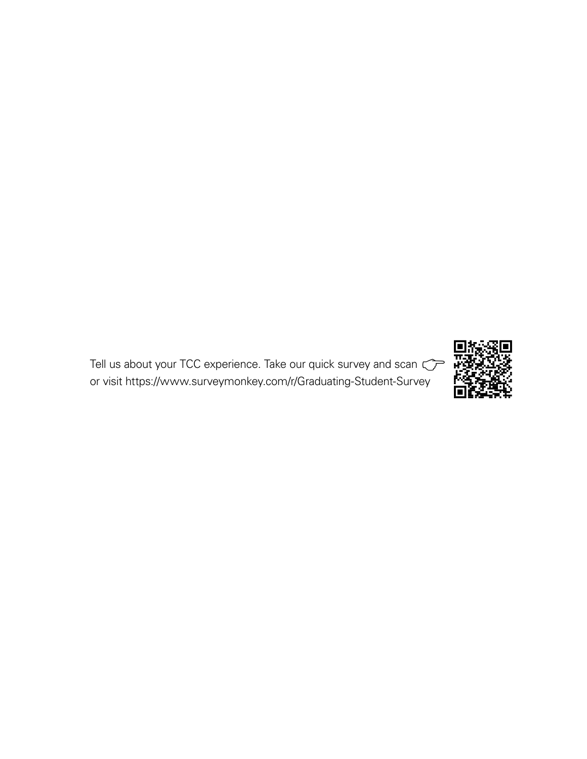Tell us about your TCC experience. Take our quick survey and scan  $\mathbb{C}^{\mathbb{P}}$ or visit https://www.surveymonkey.com/r/Graduating-Student-Survey